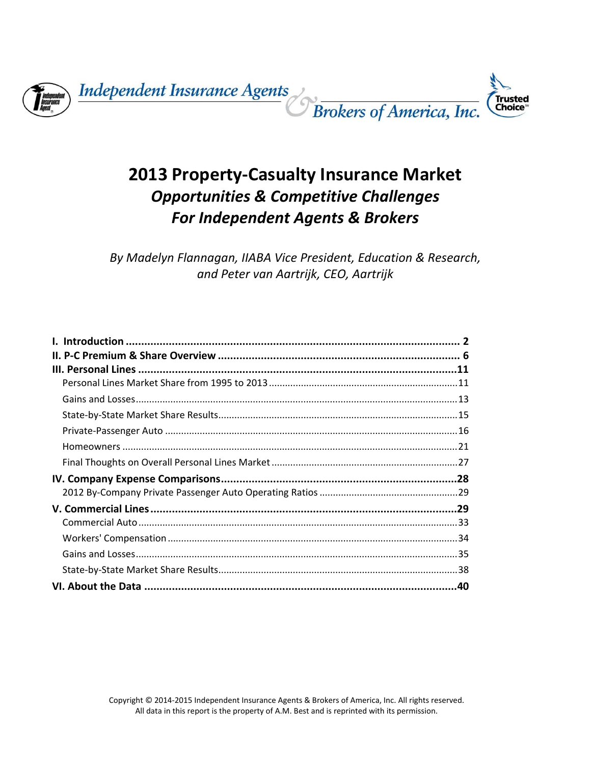

# **2013 Property‐Casualty Insurance Market** *Opportunities & Competitive Challenges For Independent Agents & Brokers*

*By Madelyn Flannagan, IIABA Vice President, Education & Research, and Peter van Aartrijk, CEO, Aartrijk*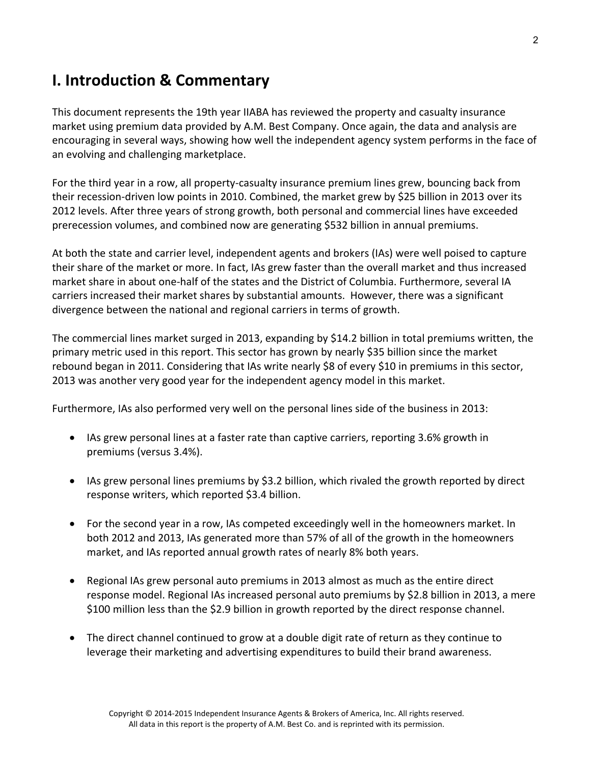# **I. Introduction & Commentary**

This document represents the 19th year IIABA has reviewed the property and casualty insurance market using premium data provided by A.M. Best Company. Once again, the data and analysis are encouraging in several ways, showing how well the independent agency system performs in the face of an evolving and challenging marketplace.

For the third year in a row, all property‐casualty insurance premium lines grew, bouncing back from their recession-driven low points in 2010. Combined, the market grew by \$25 billion in 2013 over its 2012 levels. After three years of strong growth, both personal and commercial lines have exceeded prerecession volumes, and combined now are generating \$532 billion in annual premiums.

At both the state and carrier level, independent agents and brokers (IAs) were well poised to capture their share of the market or more. In fact, IAs grew faster than the overall market and thus increased market share in about one‐half of the states and the District of Columbia. Furthermore, several IA carriers increased their market shares by substantial amounts. However, there was a significant divergence between the national and regional carriers in terms of growth.

The commercial lines market surged in 2013, expanding by \$14.2 billion in total premiums written, the primary metric used in this report. This sector has grown by nearly \$35 billion since the market rebound began in 2011. Considering that IAs write nearly \$8 of every \$10 in premiums in this sector, 2013 was another very good year for the independent agency model in this market.

Furthermore, IAs also performed very well on the personal lines side of the business in 2013:

- IAs grew personal lines at a faster rate than captive carriers, reporting 3.6% growth in premiums (versus 3.4%).
- IAs grew personal lines premiums by \$3.2 billion, which rivaled the growth reported by direct response writers, which reported \$3.4 billion.
- For the second year in a row, IAs competed exceedingly well in the homeowners market. In both 2012 and 2013, IAs generated more than 57% of all of the growth in the homeowners market, and IAs reported annual growth rates of nearly 8% both years.
- Regional IAs grew personal auto premiums in 2013 almost as much as the entire direct response model. Regional IAs increased personal auto premiums by \$2.8 billion in 2013, a mere \$100 million less than the \$2.9 billion in growth reported by the direct response channel.
- The direct channel continued to grow at a double digit rate of return as they continue to leverage their marketing and advertising expenditures to build their brand awareness.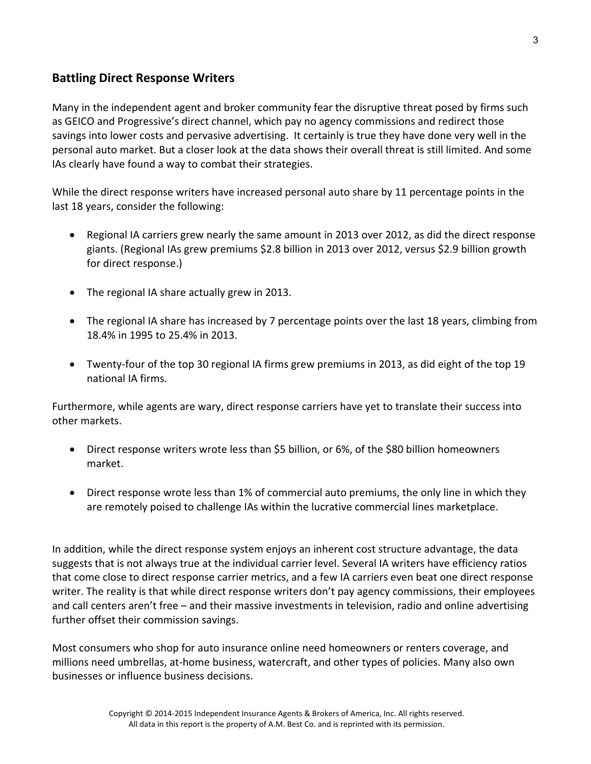## **Battling Direct Response Writers**

Many in the independent agent and broker community fear the disruptive threat posed by firms such as GEICO and Progressive's direct channel, which pay no agency commissions and redirect those savings into lower costs and pervasive advertising. It certainly is true they have done very well in the personal auto market. But a closer look at the data shows their overall threat is still limited. And some IAs clearly have found a way to combat their strategies.

While the direct response writers have increased personal auto share by 11 percentage points in the last 18 years, consider the following:

- Regional IA carriers grew nearly the same amount in 2013 over 2012, as did the direct response giants. (Regional IAs grew premiums \$2.8 billion in 2013 over 2012, versus \$2.9 billion growth for direct response.)
- The regional IA share actually grew in 2013.
- The regional IA share has increased by 7 percentage points over the last 18 years, climbing from 18.4% in 1995 to 25.4% in 2013.
- Twenty-four of the top 30 regional IA firms grew premiums in 2013, as did eight of the top 19 national IA firms.

Furthermore, while agents are wary, direct response carriers have yet to translate their success into other markets.

- Direct response writers wrote less than \$5 billion, or 6%, of the \$80 billion homeowners market.
- Direct response wrote less than 1% of commercial auto premiums, the only line in which they are remotely poised to challenge IAs within the lucrative commercial lines marketplace.

In addition, while the direct response system enjoys an inherent cost structure advantage, the data suggests that is not always true at the individual carrier level. Several IA writers have efficiency ratios that come close to direct response carrier metrics, and a few IA carriers even beat one direct response writer. The reality is that while direct response writers don't pay agency commissions, their employees and call centers aren't free – and their massive investments in television, radio and online advertising further offset their commission savings.

Most consumers who shop for auto insurance online need homeowners or renters coverage, and millions need umbrellas, at‐home business, watercraft, and other types of policies. Many also own businesses or influence business decisions.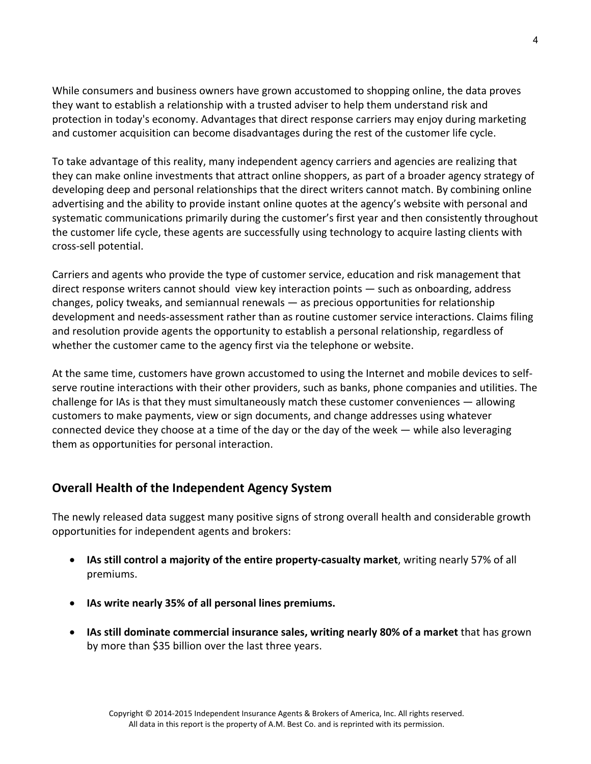While consumers and business owners have grown accustomed to shopping online, the data proves they want to establish a relationship with a trusted adviser to help them understand risk and protection in today's economy. Advantages that direct response carriers may enjoy during marketing and customer acquisition can become disadvantages during the rest of the customer life cycle.

To take advantage of this reality, many independent agency carriers and agencies are realizing that they can make online investments that attract online shoppers, as part of a broader agency strategy of developing deep and personal relationships that the direct writers cannot match. By combining online advertising and the ability to provide instant online quotes at the agency's website with personal and systematic communications primarily during the customer's first year and then consistently throughout the customer life cycle, these agents are successfully using technology to acquire lasting clients with cross‐sell potential.

Carriers and agents who provide the type of customer service, education and risk management that direct response writers cannot should view key interaction points — such as onboarding, address changes, policy tweaks, and semiannual renewals — as precious opportunities for relationship development and needs‐assessment rather than as routine customer service interactions. Claims filing and resolution provide agents the opportunity to establish a personal relationship, regardless of whether the customer came to the agency first via the telephone or website.

At the same time, customers have grown accustomed to using the Internet and mobile devices to self‐ serve routine interactions with their other providers, such as banks, phone companies and utilities. The challenge for IAs is that they must simultaneously match these customer conveniences — allowing customers to make payments, view or sign documents, and change addresses using whatever connected device they choose at a time of the day or the day of the week — while also leveraging them as opportunities for personal interaction.

## **Overall Health of the Independent Agency System**

The newly released data suggest many positive signs of strong overall health and considerable growth opportunities for independent agents and brokers:

- **IAs still control a majority of the entire property‐casualty market**, writing nearly 57% of all premiums.
- **IAs write nearly 35% of all personal lines premiums.**
- **IAs still dominate commercial insurance sales, writing nearly 80% of a market** that has grown by more than \$35 billion over the last three years.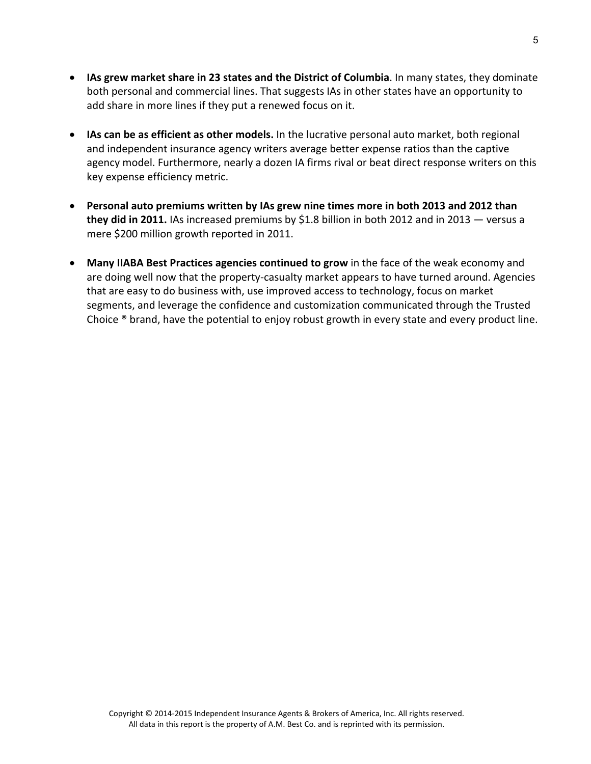- **IAs grew market share in 23 states and the District of Columbia**. In many states, they dominate both personal and commercial lines. That suggests IAs in other states have an opportunity to add share in more lines if they put a renewed focus on it.
- **IAs can be as efficient as other models.** In the lucrative personal auto market, both regional and independent insurance agency writers average better expense ratios than the captive agency model. Furthermore, nearly a dozen IA firms rival or beat direct response writers on this key expense efficiency metric.
- **Personal auto premiums written by IAs grew nine times more in both 2013 and 2012 than they did in 2011.** IAs increased premiums by \$1.8 billion in both 2012 and in 2013 — versus a mere \$200 million growth reported in 2011.
- **Many IIABA Best Practices agencies continued to grow** in the face of the weak economy and are doing well now that the property‐casualty market appears to have turned around. Agencies that are easy to do business with, use improved access to technology, focus on market segments, and leverage the confidence and customization communicated through the Trusted Choice ® brand, have the potential to enjoy robust growth in every state and every product line.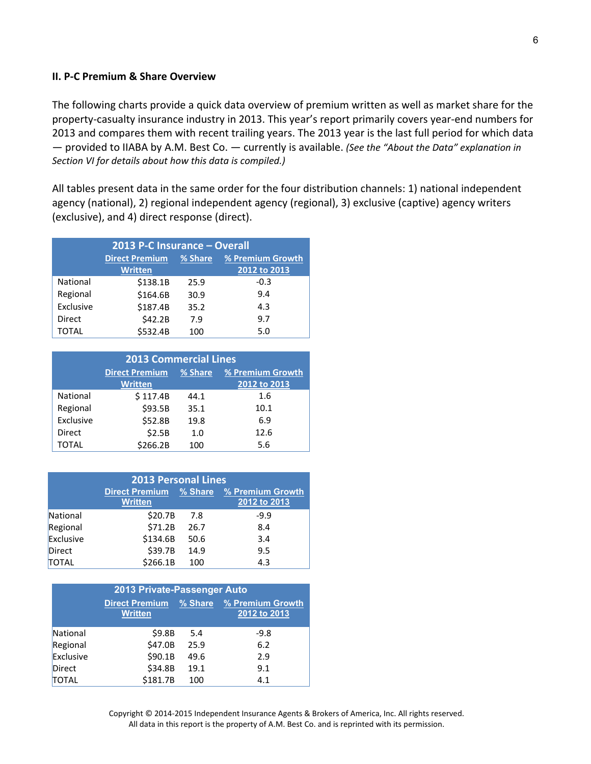#### **II. P‐C Premium & Share Overview**

The following charts provide a quick data overview of premium written as well as market share for the property-casualty insurance industry in 2013. This year's report primarily covers year-end numbers for 2013 and compares them with recent trailing years. The 2013 year is the last full period for which data — provided to IIABA by A.M. Best Co. — currently is available. *(See the "About the Data" explanation in Section VI for details about how this data is compiled.)*

All tables present data in the same order for the four distribution channels: 1) national independent agency (national), 2) regional independent agency (regional), 3) exclusive (captive) agency writers (exclusive), and 4) direct response (direct).

| 2013 P-C Insurance - Overall |                       |         |                  |
|------------------------------|-----------------------|---------|------------------|
|                              | <b>Direct Premium</b> | % Share | % Premium Growth |
|                              | <b>Written</b>        |         | 2012 to 2013     |
| National                     | \$138.1B              | 25.9    | $-0.3$           |
| Regional                     | \$164.6B              | 30.9    | 9.4              |
| Exclusive                    | \$187.4B              | 35.2    | 4.3              |
| Direct                       | \$42.2B               | 7.9     | 9.7              |
| TOTAL                        | \$532.4B              | 100     | 5.0              |

| <b>2013 Commercial Lines</b>   |                                                      |      |      |
|--------------------------------|------------------------------------------------------|------|------|
|                                | <b>Direct Premium</b><br>% Share<br>% Premium Growth |      |      |
| <b>Written</b><br>2012 to 2013 |                                                      |      |      |
| National                       | \$117.4B                                             | 44.1 | 1.6  |
| Regional                       | \$93.5B                                              | 35.1 | 10.1 |
| Exclusive                      | \$52.8B                                              | 19.8 | 6.9  |
| Direct                         | \$2.5B                                               | 1.0  | 12.6 |
| TOTAL                          | \$266.2B                                             | 100  | 5.6  |

| <b>2013 Personal Lines</b> |                |      |                                                         |
|----------------------------|----------------|------|---------------------------------------------------------|
|                            | <b>Written</b> |      | Direct Premium % Share % Premium Growth<br>2012 to 2013 |
| National                   | \$20.7B        | 7.8  | $-9.9$                                                  |
| Regional                   | \$71.2B        | 26.7 | 8.4                                                     |
| Exclusive                  | \$134.6B       | 50.6 | 3.4                                                     |
| Direct                     | \$39.7B        | 14.9 | 9.5                                                     |
| <b>TOTAL</b>               | \$266.1B       | 100  | 4.3                                                     |

| 2013 Private-Passenger Auto |                                         |         |                                  |
|-----------------------------|-----------------------------------------|---------|----------------------------------|
|                             | <b>Direct Premium</b><br><b>Written</b> | % Share | % Premium Growth<br>2012 to 2013 |
| National                    | \$9.8B                                  | 5.4     | $-9.8$                           |
| Regional                    | \$47.0B                                 | 25.9    | 6.2                              |
| Exclusive                   | \$90.1B                                 | 49.6    | 2.9                              |
| Direct                      | \$34.8B                                 | 19.1    | 9.1                              |
| <b>TOTAL</b>                | \$181.7B                                | 100     | 4.1                              |

Copyright © 2014‐2015 Independent Insurance Agents & Brokers of America, Inc. All rights reserved. All data in this report is the property of A.M. Best Co. and is reprinted with its permission.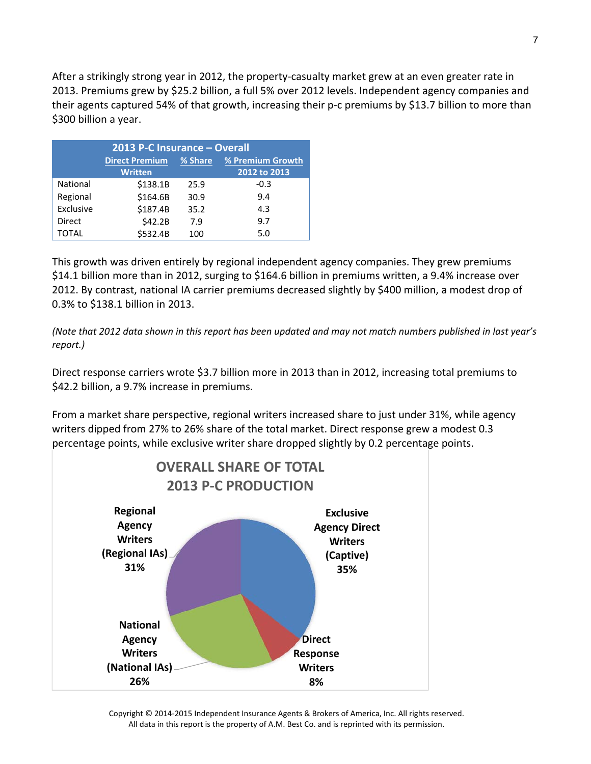After a strikingly strong year in 2012, the property‐casualty market grew at an even greater rate in 2013. Premiums grew by \$25.2 billion, a full 5% over 2012 levels. Independent agency companies and their agents captured 54% of that growth, increasing their p-c premiums by \$13.7 billion to more than \$300 billion a year.

| 2013 P-C Insurance - Overall |                       |         |                  |
|------------------------------|-----------------------|---------|------------------|
|                              | <b>Direct Premium</b> | % Share | % Premium Growth |
|                              | <b>Written</b>        |         | 2012 to 2013     |
| National                     | \$138.1B              | 25.9    | $-0.3$           |
| Regional                     | \$164.6B              | 30.9    | 9.4              |
| Exclusive                    | \$187.4B              | 35.2    | 4.3              |
| Direct                       | \$42.2B               | 7.9     | 9.7              |
| TOTAL                        | \$532.4B              | 100     | 5.0              |

This growth was driven entirely by regional independent agency companies. They grew premiums \$14.1 billion more than in 2012, surging to \$164.6 billion in premiums written, a 9.4% increase over 2012. By contrast, national IA carrier premiums decreased slightly by \$400 million, a modest drop of 0.3% to \$138.1 billion in 2013.

(Note that 2012 data shown in this report has been updated and may not match numbers published in last year's *report.)*

Direct response carriers wrote \$3.7 billion more in 2013 than in 2012, increasing total premiums to \$42.2 billion, a 9.7% increase in premiums.

From a market share perspective, regional writers increased share to just under 31%, while agency writers dipped from 27% to 26% share of the total market. Direct response grew a modest 0.3 percentage points, while exclusive writer share dropped slightly by 0.2 percentage points.



Copyright © 2014‐2015 Independent Insurance Agents & Brokers of America, Inc. All rights reserved. All data in this report is the property of A.M. Best Co. and is reprinted with its permission.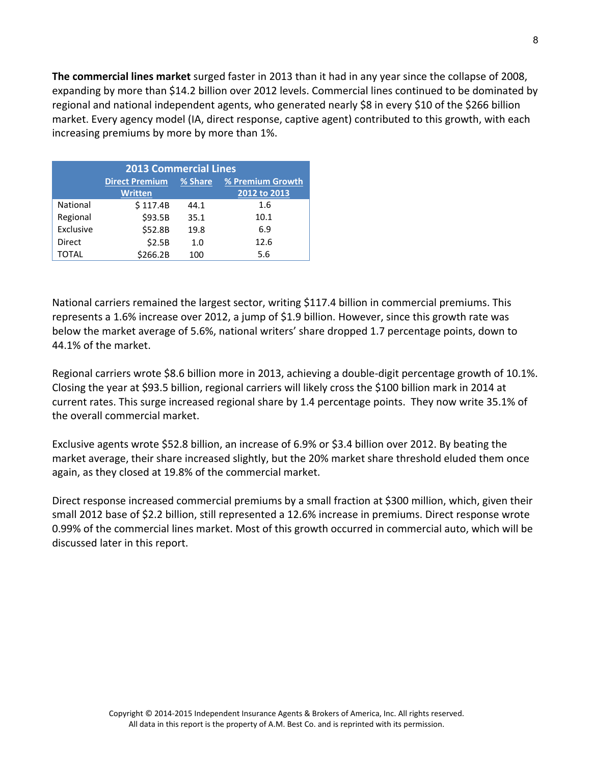**The commercial lines market** surged faster in 2013 than it had in any year since the collapse of 2008, expanding by more than \$14.2 billion over 2012 levels. Commercial lines continued to be dominated by regional and national independent agents, who generated nearly \$8 in every \$10 of the \$266 billion market. Every agency model (IA, direct response, captive agent) contributed to this growth, with each increasing premiums by more by more than 1%.

| <b>2013 Commercial Lines</b> |                       |         |                  |
|------------------------------|-----------------------|---------|------------------|
|                              | <b>Direct Premium</b> | % Share | % Premium Growth |
|                              | <b>Written</b>        |         | 2012 to 2013     |
| National                     | \$117.4B              | 44.1    | 1.6              |
| Regional                     | \$93.5B               | 35.1    | 10.1             |
| Exclusive                    | \$52.8B               | 19.8    | 6.9              |
| Direct                       | \$2.5B                | 1.0     | 12.6             |
| TOTAL                        | \$266.2B              | 100     | 5.6              |

National carriers remained the largest sector, writing \$117.4 billion in commercial premiums. This represents a 1.6% increase over 2012, a jump of \$1.9 billion. However, since this growth rate was below the market average of 5.6%, national writers' share dropped 1.7 percentage points, down to 44.1% of the market.

Regional carriers wrote \$8.6 billion more in 2013, achieving a double‐digit percentage growth of 10.1%. Closing the year at \$93.5 billion, regional carriers will likely cross the \$100 billion mark in 2014 at current rates. This surge increased regional share by 1.4 percentage points. They now write 35.1% of the overall commercial market.

Exclusive agents wrote \$52.8 billion, an increase of 6.9% or \$3.4 billion over 2012. By beating the market average, their share increased slightly, but the 20% market share threshold eluded them once again, as they closed at 19.8% of the commercial market.

Direct response increased commercial premiums by a small fraction at \$300 million, which, given their small 2012 base of \$2.2 billion, still represented a 12.6% increase in premiums. Direct response wrote 0.99% of the commercial lines market. Most of this growth occurred in commercial auto, which will be discussed later in this report.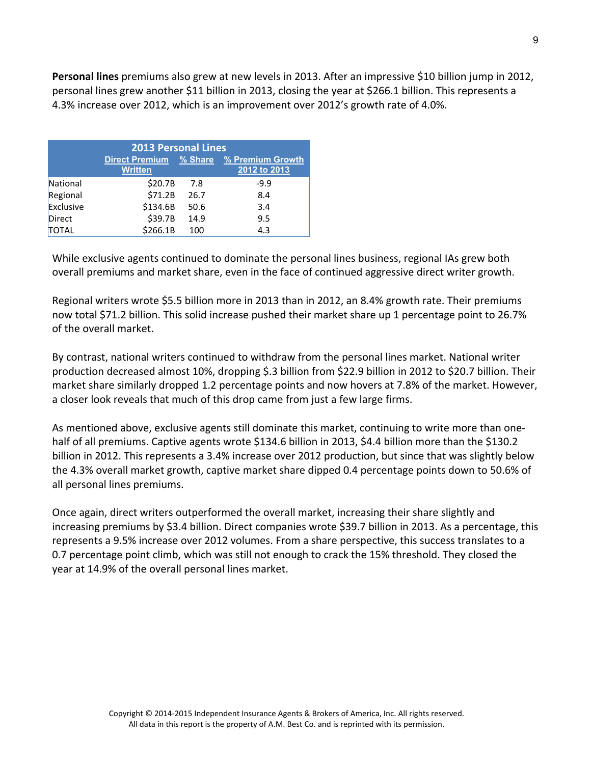**Personal lines** premiums also grew at new levels in 2013. After an impressive \$10 billion jump in 2012, personal lines grew another \$11 billion in 2013, closing the year at \$266.1 billion. This represents a 4.3% increase over 2012, which is an improvement over 2012's growth rate of 4.0%.

| <b>2013 Personal Lines</b> |                                          |      |                                         |
|----------------------------|------------------------------------------|------|-----------------------------------------|
|                            | Direct Premium % Share<br><b>Written</b> |      | <b>% Premium Growth</b><br>2012 to 2013 |
| National                   | \$20.7B                                  | 7.8  | $-9.9$                                  |
| Regional                   | \$71.2B                                  | 26.7 | 8.4                                     |
| Exclusive                  | \$134.6B                                 | 50.6 | 3.4                                     |
| <b>Direct</b>              | \$39.7B                                  | 14.9 | 9.5                                     |
| <b>TOTAL</b>               | \$266.1B                                 | 100  | 4.3                                     |

While exclusive agents continued to dominate the personal lines business, regional IAs grew both overall premiums and market share, even in the face of continued aggressive direct writer growth.

Regional writers wrote \$5.5 billion more in 2013 than in 2012, an 8.4% growth rate. Their premiums now total \$71.2 billion. This solid increase pushed their market share up 1 percentage point to 26.7% of the overall market.

By contrast, national writers continued to withdraw from the personal lines market. National writer production decreased almost 10%, dropping \$.3 billion from \$22.9 billion in 2012 to \$20.7 billion. Their market share similarly dropped 1.2 percentage points and now hovers at 7.8% of the market. However, a closer look reveals that much of this drop came from just a few large firms.

As mentioned above, exclusive agents still dominate this market, continuing to write more than one‐ half of all premiums. Captive agents wrote \$134.6 billion in 2013, \$4.4 billion more than the \$130.2 billion in 2012. This represents a 3.4% increase over 2012 production, but since that was slightly below the 4.3% overall market growth, captive market share dipped 0.4 percentage points down to 50.6% of all personal lines premiums.

Once again, direct writers outperformed the overall market, increasing their share slightly and increasing premiums by \$3.4 billion. Direct companies wrote \$39.7 billion in 2013. As a percentage, this represents a 9.5% increase over 2012 volumes. From a share perspective, this success translates to a 0.7 percentage point climb, which was still not enough to crack the 15% threshold. They closed the year at 14.9% of the overall personal lines market.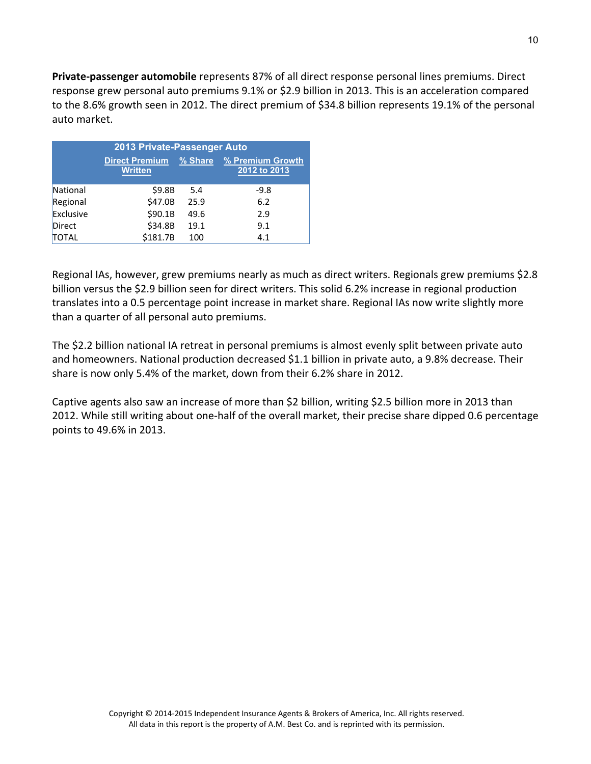**Private‐passenger automobile** represents 87% of all direct response personal lines premiums. Direct response grew personal auto premiums 9.1% or \$2.9 billion in 2013. This is an acceleration compared to the 8.6% growth seen in 2012. The direct premium of \$34.8 billion represents 19.1% of the personal auto market.

| 2013 Private-Passenger Auto |                                         |         |                                  |
|-----------------------------|-----------------------------------------|---------|----------------------------------|
|                             | <b>Direct Premium</b><br><b>Written</b> | % Share | % Premium Growth<br>2012 to 2013 |
| National                    | \$9.8B                                  | 5.4     | $-9.8$                           |
| Regional                    | \$47.0B                                 | 25.9    | 6.2                              |
| Exclusive                   | \$90.1B                                 | 49.6    | 2.9                              |
| Direct                      | \$34.8B                                 | 19.1    | 9.1                              |
| <b>TOTAL</b>                | \$181.7B                                | 100     | 4.1                              |

Regional IAs, however, grew premiums nearly as much as direct writers. Regionals grew premiums \$2.8 billion versus the \$2.9 billion seen for direct writers. This solid 6.2% increase in regional production translates into a 0.5 percentage point increase in market share. Regional IAs now write slightly more than a quarter of all personal auto premiums.

The \$2.2 billion national IA retreat in personal premiums is almost evenly split between private auto and homeowners. National production decreased \$1.1 billion in private auto, a 9.8% decrease. Their share is now only 5.4% of the market, down from their 6.2% share in 2012.

Captive agents also saw an increase of more than \$2 billion, writing \$2.5 billion more in 2013 than 2012. While still writing about one-half of the overall market, their precise share dipped 0.6 percentage points to 49.6% in 2013.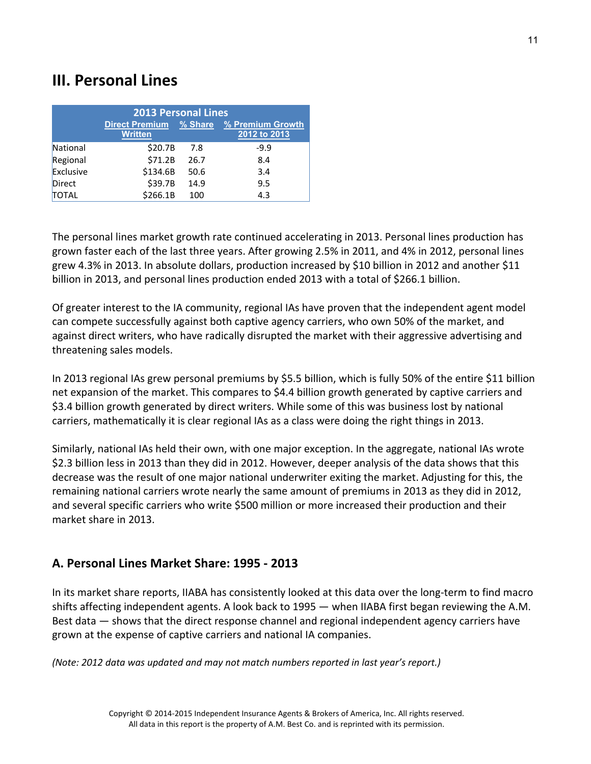# **III. Personal Lines**

| <b>2013 Personal Lines</b> |                       |         |                  |
|----------------------------|-----------------------|---------|------------------|
|                            | <b>Direct Premium</b> | % Share | % Premium Growth |
|                            | <b>Written</b>        |         | 2012 to 2013     |
| National                   | \$20.7B               | 7.8     | $-9.9$           |
| Regional                   | \$71.2B               | 26.7    | 8.4              |
| Exclusive                  | \$134.6B              | 50.6    | 3.4              |
| Direct                     | \$39.7B               | 14.9    | 9.5              |
| <b>TOTAL</b>               | \$266.1B              | 100     | 4.3              |

The personal lines market growth rate continued accelerating in 2013. Personal lines production has grown faster each of the last three years. After growing 2.5% in 2011, and 4% in 2012, personal lines grew 4.3% in 2013. In absolute dollars, production increased by \$10 billion in 2012 and another \$11 billion in 2013, and personal lines production ended 2013 with a total of \$266.1 billion.

Of greater interest to the IA community, regional IAs have proven that the independent agent model can compete successfully against both captive agency carriers, who own 50% of the market, and against direct writers, who have radically disrupted the market with their aggressive advertising and threatening sales models.

In 2013 regional IAs grew personal premiums by \$5.5 billion, which is fully 50% of the entire \$11 billion net expansion of the market. This compares to \$4.4 billion growth generated by captive carriers and \$3.4 billion growth generated by direct writers. While some of this was business lost by national carriers, mathematically it is clear regional IAs as a class were doing the right things in 2013.

Similarly, national IAs held their own, with one major exception. In the aggregate, national IAs wrote \$2.3 billion less in 2013 than they did in 2012. However, deeper analysis of the data shows that this decrease was the result of one major national underwriter exiting the market. Adjusting for this, the remaining national carriers wrote nearly the same amount of premiums in 2013 as they did in 2012, and several specific carriers who write \$500 million or more increased their production and their market share in 2013.

## **A. Personal Lines Market Share: 1995 ‐ 2013**

In its market share reports, IIABA has consistently looked at this data over the long‐term to find macro shifts affecting independent agents. A look back to 1995 — when IIABA first began reviewing the A.M. Best data — shows that the direct response channel and regional independent agency carriers have grown at the expense of captive carriers and national IA companies.

*(Note: 2012 data was updated and may not match numbers reported in last year's report.)*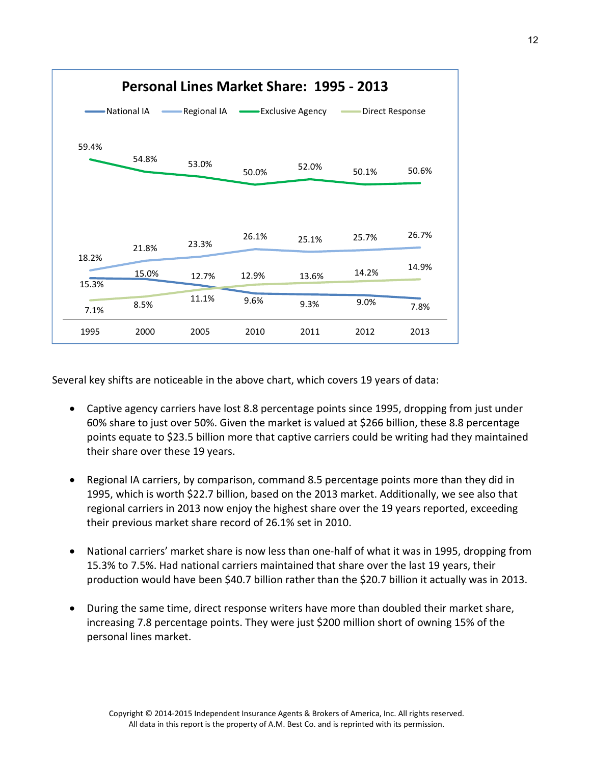

Several key shifts are noticeable in the above chart, which covers 19 years of data:

- Captive agency carriers have lost 8.8 percentage points since 1995, dropping from just under 60% share to just over 50%. Given the market is valued at \$266 billion, these 8.8 percentage points equate to \$23.5 billion more that captive carriers could be writing had they maintained their share over these 19 years.
- Regional IA carriers, by comparison, command 8.5 percentage points more than they did in 1995, which is worth \$22.7 billion, based on the 2013 market. Additionally, we see also that regional carriers in 2013 now enjoy the highest share over the 19 years reported, exceeding their previous market share record of 26.1% set in 2010.
- National carriers' market share is now less than one-half of what it was in 1995, dropping from 15.3% to 7.5%. Had national carriers maintained that share over the last 19 years, their production would have been \$40.7 billion rather than the \$20.7 billion it actually was in 2013.
- During the same time, direct response writers have more than doubled their market share, increasing 7.8 percentage points. They were just \$200 million short of owning 15% of the personal lines market.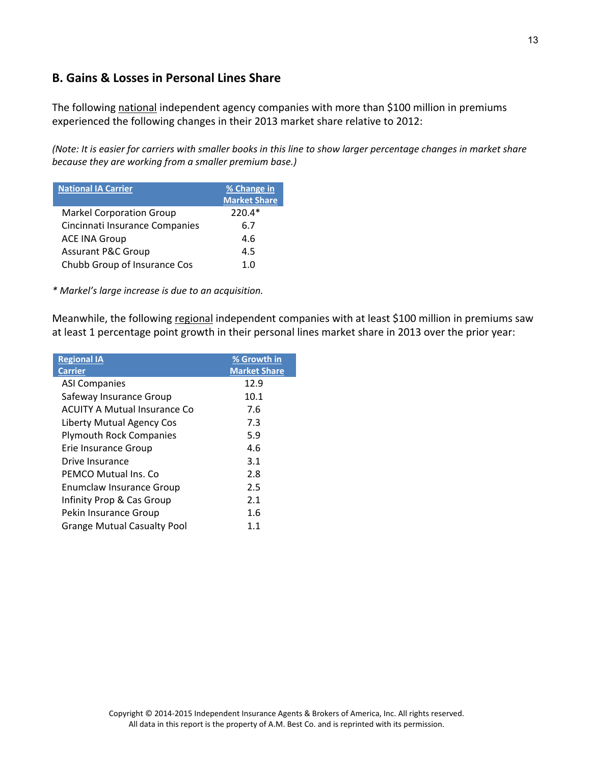## **B. Gains & Losses in Personal Lines Share**

The following national independent agency companies with more than \$100 million in premiums experienced the following changes in their 2013 market share relative to 2012:

(Note: It is easier for carriers with smaller books in this line to show larger percentage changes in market share *because they are working from a smaller premium base.)*

| <b>National IA Carrier</b>      | % Change in<br><b>Market Share</b> |
|---------------------------------|------------------------------------|
| <b>Markel Corporation Group</b> | 220.4*                             |
| Cincinnati Insurance Companies  | 6.7                                |
| <b>ACE INA Group</b>            | 4.6                                |
| <b>Assurant P&amp;C Group</b>   | 4.5                                |
| Chubb Group of Insurance Cos    | 1 በ                                |

*\* Markel's large increase is due to an acquisition.*

Meanwhile, the following regional independent companies with at least \$100 million in premiums saw at least 1 percentage point growth in their personal lines market share in 2013 over the prior year:

| <b>Regional IA</b>                   | % Growth in         |
|--------------------------------------|---------------------|
| <b>Carrier</b>                       | <b>Market Share</b> |
| <b>ASI Companies</b>                 | 12.9                |
| Safeway Insurance Group              | 10.1                |
| <b>ACUITY A Mutual Insurance Co.</b> | 7.6                 |
| Liberty Mutual Agency Cos            | 7.3                 |
| <b>Plymouth Rock Companies</b>       | 5.9                 |
| Erie Insurance Group                 | 4.6                 |
| Drive Insurance                      | 3.1                 |
| PEMCO Mutual Ins. Co.                | 2.8                 |
| Enumclaw Insurance Group             | 2.5                 |
| Infinity Prop & Cas Group            | 2.1                 |
| Pekin Insurance Group                | 1.6                 |
| <b>Grange Mutual Casualty Pool</b>   | 1.1                 |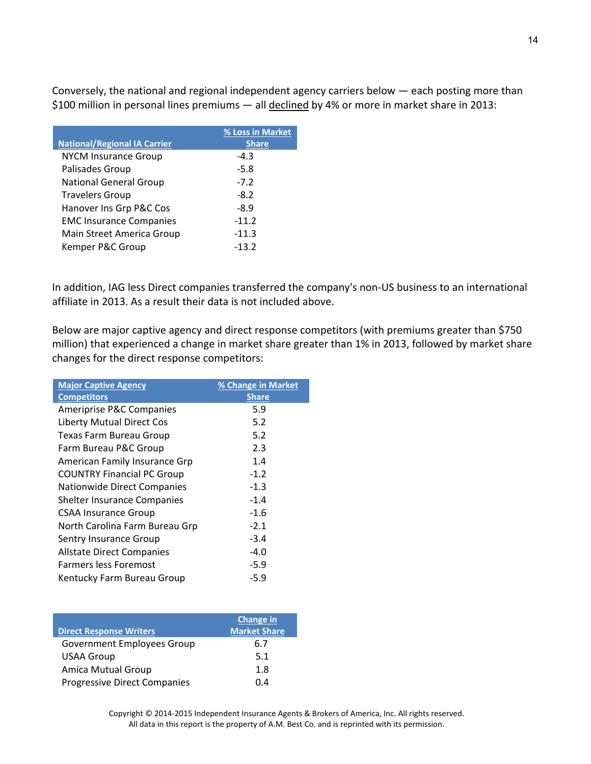Conversely, the national and regional independent agency carriers below — each posting more than \$100 million in personal lines premiums — all declined by 4% or more in market share in 2013:

|                                     | % Loss in Market |
|-------------------------------------|------------------|
| <b>National/Regional IA Carrier</b> | <b>Share</b>     |
| <b>NYCM Insurance Group</b>         | $-4.3$           |
| Palisades Group                     | $-5.8$           |
| <b>National General Group</b>       | $-7.2$           |
| <b>Travelers Group</b>              | $-8.2$           |
| Hanover Ins Grp P&C Cos             | $-8.9$           |
| <b>EMC Insurance Companies</b>      | $-11.2$          |
| Main Street America Group           | $-11.3$          |
| Kemper P&C Group                    | $-13.2$          |

In addition, IAG less Direct companies transferred the company's non‐US business to an international affiliate in 2013. As a result their data is not included above.

Below are major captive agency and direct response competitors (with premiums greater than \$750 million) that experienced a change in market share greater than 1% in 2013, followed by market share changes for the direct response competitors:

| <b>Major Captive Agency</b>        | % Change in Market |
|------------------------------------|--------------------|
| <b>Competitors</b>                 | <b>Share</b>       |
| Ameriprise P&C Companies           | 5.9                |
| <b>Liberty Mutual Direct Cos</b>   | 5.2                |
| Texas Farm Bureau Group            | 5.2                |
| Farm Bureau P&C Group              | 2.3                |
| American Family Insurance Grp      | 1.4                |
| <b>COUNTRY Financial PC Group</b>  | $-1.2$             |
| <b>Nationwide Direct Companies</b> | $-1.3$             |
| Shelter Insurance Companies        | $-1.4$             |
| <b>CSAA Insurance Group</b>        | $-1.6$             |
| North Carolina Farm Bureau Grp     | $-2.1$             |
| Sentry Insurance Group             | $-3.4$             |
| <b>Allstate Direct Companies</b>   | $-4.0$             |
| <b>Farmers less Foremost</b>       | $-5.9$             |
| Kentucky Farm Bureau Group         | -5.9               |

|                                     | <b>Change in</b>    |
|-------------------------------------|---------------------|
| <b>Direct Response Writers</b>      | <b>Market Share</b> |
| <b>Government Employees Group</b>   | 6.7                 |
| <b>USAA Group</b>                   | 5.1                 |
| <b>Amica Mutual Group</b>           | 1.8                 |
| <b>Progressive Direct Companies</b> | 0.4                 |

Copyright © 2014‐2015 Independent Insurance Agents & Brokers of America, Inc. All rights reserved. All data in this report is the property of A.M. Best Co. and is reprinted with its permission.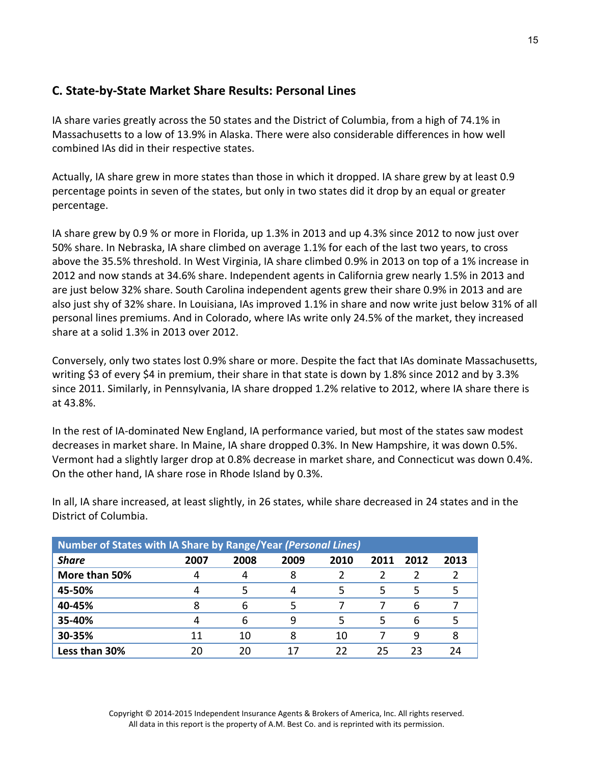## **C. State‐by‐State Market Share Results: Personal Lines**

IA share varies greatly across the 50 states and the District of Columbia, from a high of 74.1% in Massachusetts to a low of 13.9% in Alaska. There were also considerable differences in how well combined IAs did in their respective states.

Actually, IA share grew in more states than those in which it dropped. IA share grew by at least 0.9 percentage points in seven of the states, but only in two states did it drop by an equal or greater percentage.

IA share grew by 0.9 % or more in Florida, up 1.3% in 2013 and up 4.3% since 2012 to now just over 50% share. In Nebraska, IA share climbed on average 1.1% for each of the last two years, to cross above the 35.5% threshold. In West Virginia, IA share climbed 0.9% in 2013 on top of a 1% increase in 2012 and now stands at 34.6% share. Independent agents in California grew nearly 1.5% in 2013 and are just below 32% share. South Carolina independent agents grew their share 0.9% in 2013 and are also just shy of 32% share. In Louisiana, IAs improved 1.1% in share and now write just below 31% of all personal lines premiums. And in Colorado, where IAs write only 24.5% of the market, they increased share at a solid 1.3% in 2013 over 2012.

Conversely, only two states lost 0.9% share or more. Despite the fact that IAs dominate Massachusetts, writing \$3 of every \$4 in premium, their share in that state is down by 1.8% since 2012 and by 3.3% since 2011. Similarly, in Pennsylvania, IA share dropped 1.2% relative to 2012, where IA share there is at 43.8%.

In the rest of IA‐dominated New England, IA performance varied, but most of the states saw modest decreases in market share. In Maine, IA share dropped 0.3%. In New Hampshire, it was down 0.5%. Vermont had a slightly larger drop at 0.8% decrease in market share, and Connecticut was down 0.4%. On the other hand, IA share rose in Rhode Island by 0.3%.

In all, IA share increased, at least slightly, in 26 states, while share decreased in 24 states and in the District of Columbia.

| Number of States with IA Share by Range/Year (Personal Lines) |      |      |      |      |      |      |      |
|---------------------------------------------------------------|------|------|------|------|------|------|------|
| <b>Share</b>                                                  | 2007 | 2008 | 2009 | 2010 | 2011 | 2012 | 2013 |
| More than 50%                                                 |      |      | 8    |      |      |      |      |
| 45-50%                                                        |      |      | 4    |      | 5    | 5    |      |
| 40-45%                                                        |      | 6    | 5    |      |      | 6    |      |
| 35-40%                                                        |      | 6    | q    |      | 5    | 6    |      |
| 30-35%                                                        | 11   | 10   | 8    | 10   |      | q    |      |
| Less than 30%                                                 | 20   | 20   | 17   | 22   | 25   | 23   |      |

Copyright © 2014‐2015 Independent Insurance Agents & Brokers of America, Inc. All rights reserved. All data in this report is the property of A.M. Best Co. and is reprinted with its permission.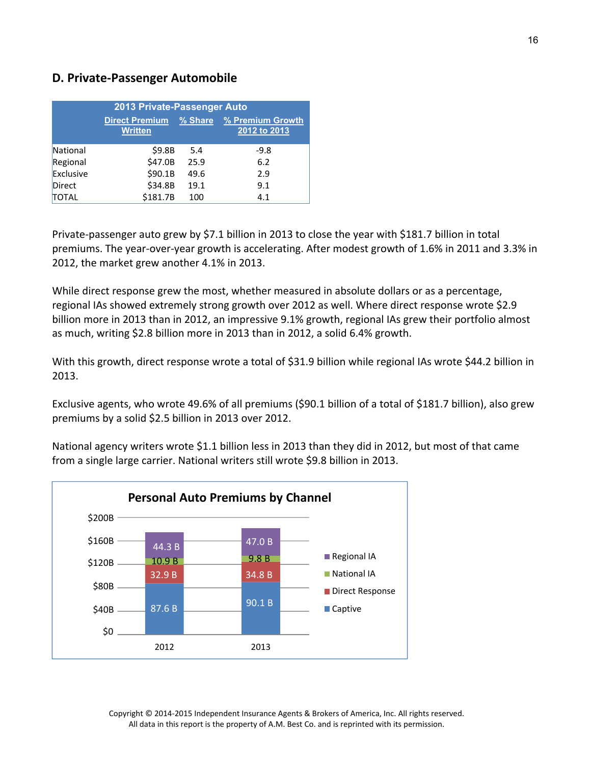### **D. Private‐Passenger Automobile**

| 2013 Private-Passenger Auto |                                         |         |                                  |  |  |
|-----------------------------|-----------------------------------------|---------|----------------------------------|--|--|
|                             | <b>Direct Premium</b><br><b>Written</b> | % Share | % Premium Growth<br>2012 to 2013 |  |  |
| National                    | \$9.8B                                  | 5.4     | $-9.8$                           |  |  |
| Regional                    | \$47.0B                                 | 25.9    | 6.2                              |  |  |
| Exclusive                   | \$90.1B                                 | 49.6    | 2.9                              |  |  |
| Direct                      | \$34.8B                                 | 19.1    | 9.1                              |  |  |
| <b>TOTAL</b>                | \$181.7B                                | 100     | 4.1                              |  |  |

Private-passenger auto grew by \$7.1 billion in 2013 to close the year with \$181.7 billion in total premiums. The year‐over‐year growth is accelerating. After modest growth of 1.6% in 2011 and 3.3% in 2012, the market grew another 4.1% in 2013.

While direct response grew the most, whether measured in absolute dollars or as a percentage, regional IAs showed extremely strong growth over 2012 as well. Where direct response wrote \$2.9 billion more in 2013 than in 2012, an impressive 9.1% growth, regional IAs grew their portfolio almost as much, writing \$2.8 billion more in 2013 than in 2012, a solid 6.4% growth.

With this growth, direct response wrote a total of \$31.9 billion while regional IAs wrote \$44.2 billion in 2013.

Exclusive agents, who wrote 49.6% of all premiums (\$90.1 billion of a total of \$181.7 billion), also grew premiums by a solid \$2.5 billion in 2013 over 2012.

National agency writers wrote \$1.1 billion less in 2013 than they did in 2012, but most of that came from a single large carrier. National writers still wrote \$9.8 billion in 2013.

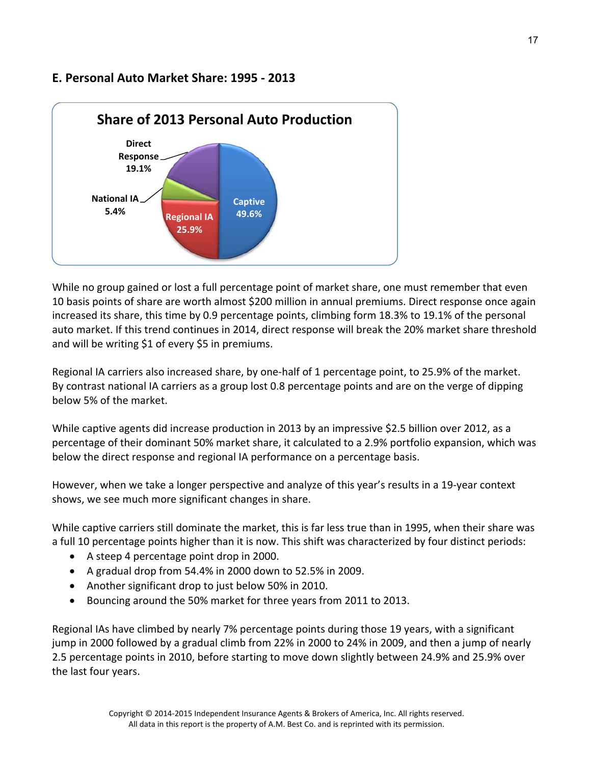## **E. Personal Auto Market Share: 1995 ‐ 2013**



While no group gained or lost a full percentage point of market share, one must remember that even 10 basis points of share are worth almost \$200 million in annual premiums. Direct response once again increased its share, this time by 0.9 percentage points, climbing form 18.3% to 19.1% of the personal auto market. If this trend continues in 2014, direct response will break the 20% market share threshold and will be writing \$1 of every \$5 in premiums.

Regional IA carriers also increased share, by one‐half of 1 percentage point, to 25.9% of the market. By contrast national IA carriers as a group lost 0.8 percentage points and are on the verge of dipping below 5% of the market.

While captive agents did increase production in 2013 by an impressive \$2.5 billion over 2012, as a percentage of their dominant 50% market share, it calculated to a 2.9% portfolio expansion, which was below the direct response and regional IA performance on a percentage basis.

However, when we take a longer perspective and analyze of this year's results in a 19‐year context shows, we see much more significant changes in share.

While captive carriers still dominate the market, this is far less true than in 1995, when their share was a full 10 percentage points higher than it is now. This shift was characterized by four distinct periods:

- A steep 4 percentage point drop in 2000.
- A gradual drop from  $54.4\%$  in 2000 down to  $52.5\%$  in 2009.
- Another significant drop to just below 50% in 2010.
- Bouncing around the 50% market for three years from 2011 to 2013.

Regional IAs have climbed by nearly 7% percentage points during those 19 years, with a significant jump in 2000 followed by a gradual climb from 22% in 2000 to 24% in 2009, and then a jump of nearly 2.5 percentage points in 2010, before starting to move down slightly between 24.9% and 25.9% over the last four years.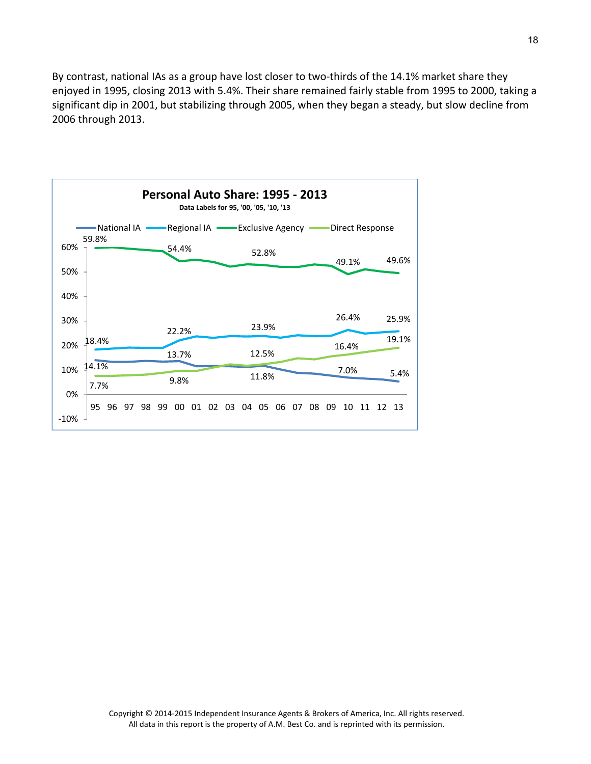By contrast, national IAs as a group have lost closer to two-thirds of the 14.1% market share they enjoyed in 1995, closing 2013 with 5.4%. Their share remained fairly stable from 1995 to 2000, taking a significant dip in 2001, but stabilizing through 2005, when they began a steady, but slow decline from 2006 through 2013.

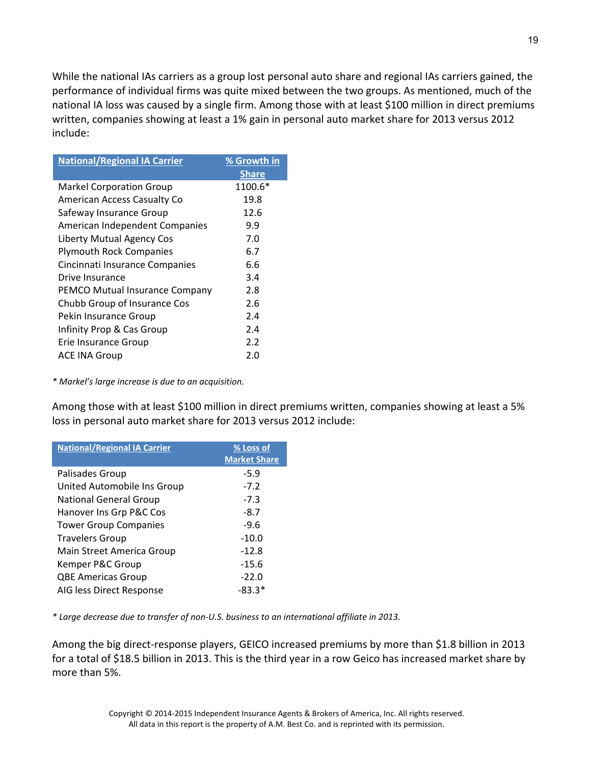While the national IAs carriers as a group lost personal auto share and regional IAs carriers gained, the performance of individual firms was quite mixed between the two groups. As mentioned, much of the national IA loss was caused by a single firm. Among those with at least \$100 million in direct premiums written, companies showing at least a 1% gain in personal auto market share for 2013 versus 2012 include:

| <b>National/Regional IA Carrier</b> | % Growth in<br><b>Share</b> |
|-------------------------------------|-----------------------------|
| <b>Markel Corporation Group</b>     | 1100.6*                     |
| <b>American Access Casualty Co</b>  | 19.8                        |
| Safeway Insurance Group             | 12.6                        |
| American Independent Companies      | 9.9                         |
| Liberty Mutual Agency Cos           | 7.0                         |
| <b>Plymouth Rock Companies</b>      | 6.7                         |
| Cincinnati Insurance Companies      | 6.6                         |
| Drive Insurance                     | 3.4                         |
| PEMCO Mutual Insurance Company      | 2.8                         |
| Chubb Group of Insurance Cos        | 2.6                         |
| Pekin Insurance Group               | 2.4                         |
| Infinity Prop & Cas Group           | 2.4                         |
| Erie Insurance Group                | 2.2                         |
| ACE INA Group                       | 2.0                         |
|                                     |                             |

*\* Markel's large increase is due to an acquisition.*

Among those with at least \$100 million in direct premiums written, companies showing at least a 5% loss in personal auto market share for 2013 versus 2012 include:

| <b>National/Regional IA Carrier</b> | % Loss of<br><b>Market Share</b> |
|-------------------------------------|----------------------------------|
| Palisades Group                     | $-5.9$                           |
| United Automobile Ins Group         | $-7.2$                           |
| <b>National General Group</b>       | $-7.3$                           |
| Hanover Ins Grp P&C Cos             | $-8.7$                           |
| <b>Tower Group Companies</b>        | $-9.6$                           |
| <b>Travelers Group</b>              | $-10.0$                          |
| Main Street America Group           | $-12.8$                          |
| Kemper P&C Group                    | $-15.6$                          |
| <b>QBE Americas Group</b>           | $-22.0$                          |
| AIG less Direct Response            | -83.3*                           |

*\* Large decrease due to transfer of non‐U.S. business to an international affiliate in 2013.*

Among the big direct‐response players, GEICO increased premiums by more than \$1.8 billion in 2013 for a total of \$18.5 billion in 2013. This is the third year in a row Geico has increased market share by more than 5%.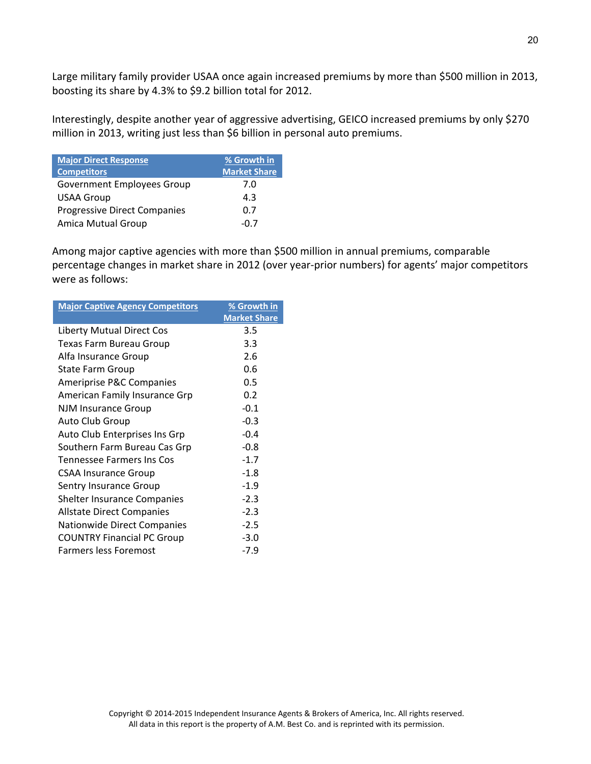Large military family provider USAA once again increased premiums by more than \$500 million in 2013, boosting its share by 4.3% to \$9.2 billion total for 2012.

Interestingly, despite another year of aggressive advertising, GEICO increased premiums by only \$270 million in 2013, writing just less than \$6 billion in personal auto premiums.

| <b>Major Direct Response</b><br><b>Competitors</b> | % Growth in<br><b>Market Share</b> |
|----------------------------------------------------|------------------------------------|
| <b>Government Employees Group</b>                  | 7.0                                |
| <b>USAA Group</b>                                  | 4.3                                |
| <b>Progressive Direct Companies</b>                | 0.7                                |
| <b>Amica Mutual Group</b>                          | $-()$                              |

Among major captive agencies with more than \$500 million in annual premiums, comparable percentage changes in market share in 2012 (over year‐prior numbers) for agents' major competitors were as follows:

| <b>Major Captive Agency Competitors</b> | % Growth in         |  |  |
|-----------------------------------------|---------------------|--|--|
|                                         | <b>Market Share</b> |  |  |
| Liberty Mutual Direct Cos               | 3.5                 |  |  |
| Texas Farm Bureau Group                 | 3.3                 |  |  |
| Alfa Insurance Group                    | 2.6                 |  |  |
| State Farm Group                        | 0.6                 |  |  |
| Ameriprise P&C Companies                | 0.5                 |  |  |
| American Family Insurance Grp           | 0.2                 |  |  |
| <b>NJM Insurance Group</b>              | $-0.1$              |  |  |
| Auto Club Group                         | $-0.3$              |  |  |
| Auto Club Enterprises Ins Grp           | $-0.4$              |  |  |
| Southern Farm Bureau Cas Grp            | $-0.8$              |  |  |
| Tennessee Farmers Ins Cos               | $-1.7$              |  |  |
| <b>CSAA Insurance Group</b>             | $-1.8$              |  |  |
| Sentry Insurance Group                  | $-1.9$              |  |  |
| <b>Shelter Insurance Companies</b>      | $-2.3$              |  |  |
| <b>Allstate Direct Companies</b>        | $-2.3$              |  |  |
| Nationwide Direct Companies             | $-2.5$              |  |  |
| <b>COUNTRY Financial PC Group</b>       | $-3.0$              |  |  |
| <b>Farmers less Foremost</b>            | $-7.9$              |  |  |
|                                         |                     |  |  |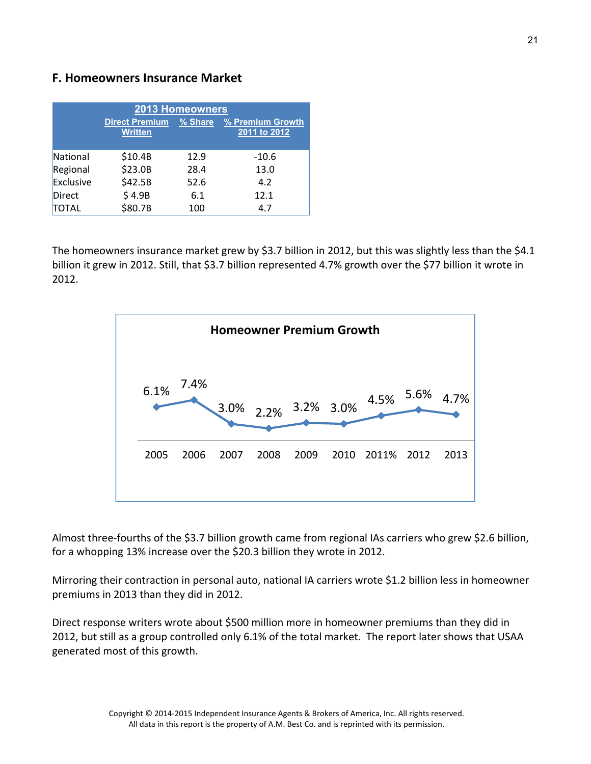### **F. Homeowners Insurance Market**

| 2013 Homeowners |                                         |         |                                  |  |  |  |
|-----------------|-----------------------------------------|---------|----------------------------------|--|--|--|
|                 | <b>Direct Premium</b><br><b>Written</b> | % Share | % Premium Growth<br>2011 to 2012 |  |  |  |
| National        | \$10.4B                                 | 12.9    | $-10.6$                          |  |  |  |
| Regional        | \$23.0B                                 | 28.4    | 13.0                             |  |  |  |
| Exclusive       | \$42.5B                                 | 52.6    | 4.2                              |  |  |  |
| Direct          | \$4.9B                                  | 6.1     | 12.1                             |  |  |  |
| TOTAL           | \$80.7B                                 | 100     | 4.7                              |  |  |  |

The homeowners insurance market grew by \$3.7 billion in 2012, but this was slightly less than the \$4.1 billion it grew in 2012. Still, that \$3.7 billion represented 4.7% growth over the \$77 billion it wrote in 2012.



Almost three‐fourths of the \$3.7 billion growth came from regional IAs carriers who grew \$2.6 billion, for a whopping 13% increase over the \$20.3 billion they wrote in 2012.

Mirroring their contraction in personal auto, national IA carriers wrote \$1.2 billion less in homeowner premiums in 2013 than they did in 2012.

Direct response writers wrote about \$500 million more in homeowner premiums than they did in 2012, but still as a group controlled only 6.1% of the total market. The report later shows that USAA generated most of this growth.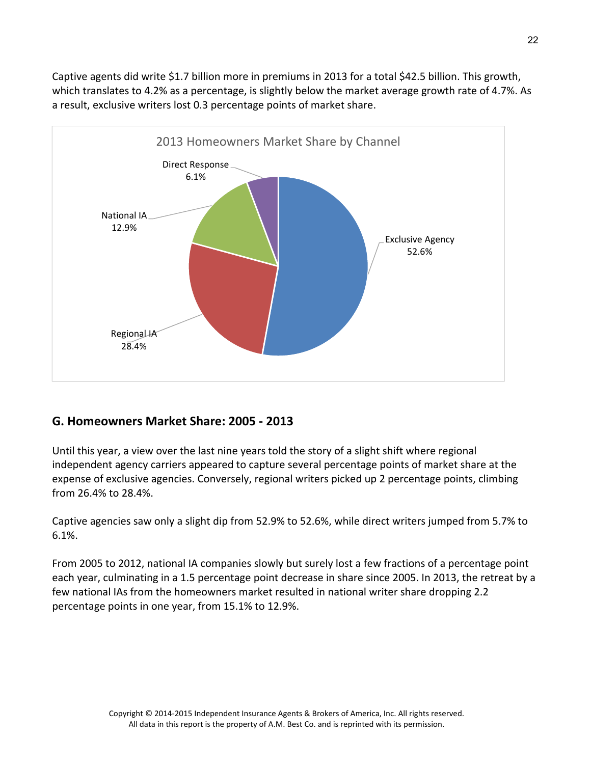Captive agents did write \$1.7 billion more in premiums in 2013 for a total \$42.5 billion. This growth, which translates to 4.2% as a percentage, is slightly below the market average growth rate of 4.7%. As a result, exclusive writers lost 0.3 percentage points of market share.



## **G. Homeowners Market Share: 2005 ‐ 2013**

Until this year, a view over the last nine years told the story of a slight shift where regional independent agency carriers appeared to capture several percentage points of market share at the expense of exclusive agencies. Conversely, regional writers picked up 2 percentage points, climbing from 26.4% to 28.4%.

Captive agencies saw only a slight dip from 52.9% to 52.6%, while direct writers jumped from 5.7% to 6.1%.

From 2005 to 2012, national IA companies slowly but surely lost a few fractions of a percentage point each year, culminating in a 1.5 percentage point decrease in share since 2005. In 2013, the retreat by a few national IAs from the homeowners market resulted in national writer share dropping 2.2 percentage points in one year, from 15.1% to 12.9%.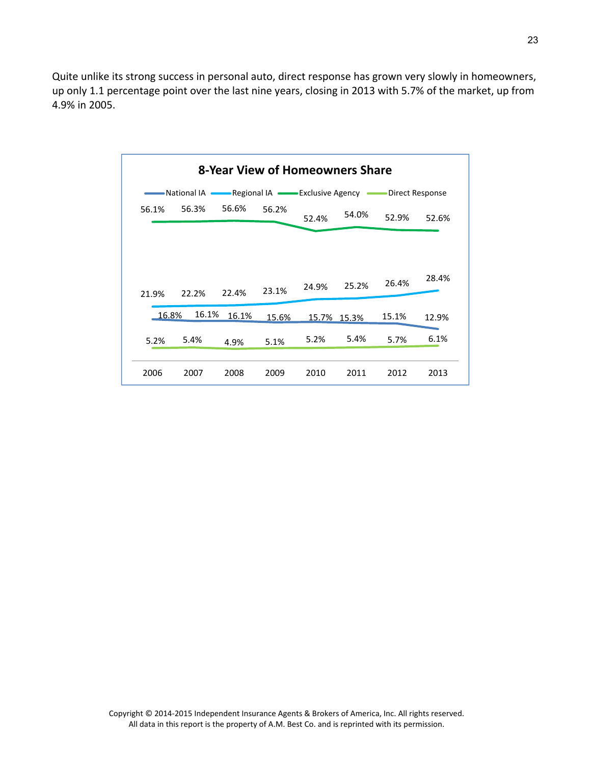Quite unlike its strong success in personal auto, direct response has grown very slowly in homeowners, up only 1.1 percentage point over the last nine years, closing in 2013 with 5.7% of the market, up from 4.9% in 2005.

| 8-Year View of Homeowners Share                                                    |       |       |       |             |       |       |       |
|------------------------------------------------------------------------------------|-------|-------|-------|-------------|-------|-------|-------|
| National IA <u>Compare</u> Regional IA Compare Exclusive Agency<br>Direct Response |       |       |       |             |       |       |       |
| 56.1%                                                                              | 56.3% | 56.6% | 56.2% | 52.4%       | 54.0% | 52.9% | 52.6% |
| 21.9%                                                                              | 22.2% | 22.4% | 23.1% | 24.9%       | 25.2% | 26.4% | 28.4% |
| 16.8%                                                                              | 16.1% | 16.1% | 15.6% | 15.7% 15.3% |       | 15.1% | 12.9% |
| 5.2%                                                                               | 5.4%  | 4.9%  | 5.1%  | 5.2%        | 5.4%  | 5.7%  | 6.1%  |
| 2006                                                                               | 2007  | 2008  | 2009  | 2010        | 2011  | 2012  | 2013  |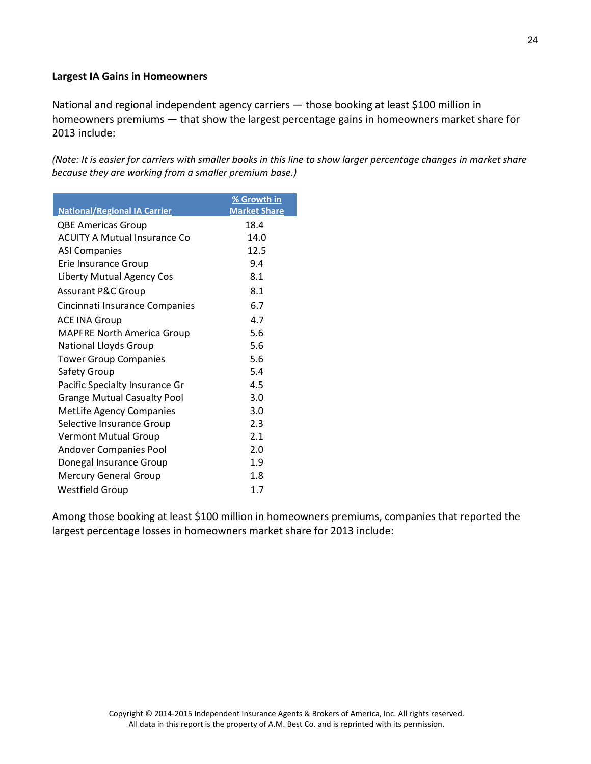#### **Largest IA Gains in Homeowners**

National and regional independent agency carriers — those booking at least \$100 million in homeowners premiums — that show the largest percentage gains in homeowners market share for 2013 include:

(Note: It is easier for carriers with smaller books in this line to show larger percentage changes in market share *because they are working from a smaller premium base.)*

| <b>National/Regional IA Carrier</b> | % Growth in<br><b>Market Share</b> |
|-------------------------------------|------------------------------------|
| <b>QBE Americas Group</b>           | 18.4                               |
| <b>ACUITY A Mutual Insurance Co</b> | 14.0                               |
| <b>ASI Companies</b>                | 12.5                               |
| Erie Insurance Group                | 9.4                                |
| <b>Liberty Mutual Agency Cos</b>    | 8.1                                |
| <b>Assurant P&amp;C Group</b>       | 8.1                                |
| Cincinnati Insurance Companies      | 6.7                                |
| <b>ACE INA Group</b>                | 4.7                                |
| <b>MAPFRE North America Group</b>   | 5.6                                |
| <b>National Lloyds Group</b>        | 5.6                                |
| <b>Tower Group Companies</b>        | 5.6                                |
| Safety Group                        | 5.4                                |
| Pacific Specialty Insurance Gr      | 4.5                                |
| <b>Grange Mutual Casualty Pool</b>  | 3.0                                |
| <b>MetLife Agency Companies</b>     | 3.0                                |
| Selective Insurance Group           | 2.3                                |
| <b>Vermont Mutual Group</b>         | 2.1                                |
| <b>Andover Companies Pool</b>       | 2.0                                |
| Donegal Insurance Group             | 1.9                                |
| <b>Mercury General Group</b>        | 1.8                                |
| <b>Westfield Group</b>              | 1.7                                |

Among those booking at least \$100 million in homeowners premiums, companies that reported the largest percentage losses in homeowners market share for 2013 include: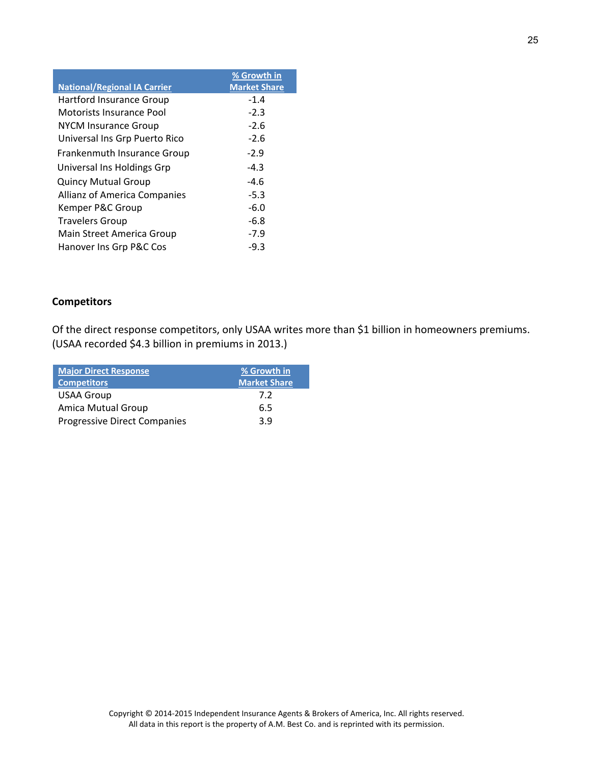|                                     | % Growth in         |
|-------------------------------------|---------------------|
| <b>National/Regional IA Carrier</b> | <b>Market Share</b> |
| <b>Hartford Insurance Group</b>     | $-1.4$              |
| <b>Motorists Insurance Pool</b>     | $-2.3$              |
| <b>NYCM Insurance Group</b>         | $-2.6$              |
| Universal Ins Grp Puerto Rico       | $-2.6$              |
| <b>Frankenmuth Insurance Group</b>  | $-2.9$              |
| Universal Ins Holdings Grp          | $-4.3$              |
| <b>Quincy Mutual Group</b>          | $-4.6$              |
| Allianz of America Companies        | $-5.3$              |
| Kemper P&C Group                    | $-6.0$              |
| <b>Travelers Group</b>              | $-6.8$              |
| Main Street America Group           | $-7.9$              |
| Hanover Ins Grp P&C Cos             | $-9.3$              |

### **Competitors**

Of the direct response competitors, only USAA writes more than \$1 billion in homeowners premiums. (USAA recorded \$4.3 billion in premiums in 2013.)

| <b>Major Direct Response</b><br><b>Competitors</b> | % Growth in<br><b>Market Share</b> |
|----------------------------------------------------|------------------------------------|
| <b>USAA Group</b>                                  | 7.2                                |
| <b>Amica Mutual Group</b>                          | 6.5                                |
| <b>Progressive Direct Companies</b>                | 3.9                                |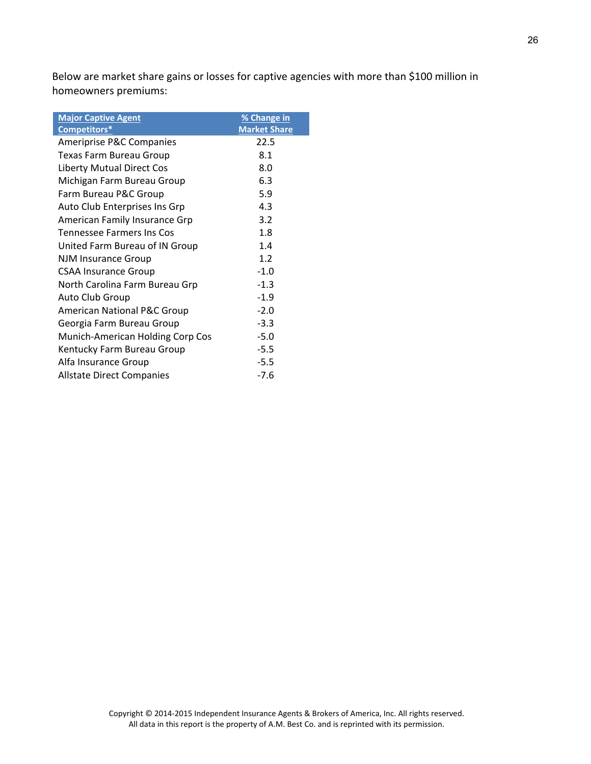Below are market share gains or losses for captive agencies with more than \$100 million in homeowners premiums:

| <b>Major Captive Agent</b>             | % Change in         |
|----------------------------------------|---------------------|
| Competitors*                           | <b>Market Share</b> |
| <b>Ameriprise P&amp;C Companies</b>    | 22.5                |
| <b>Texas Farm Bureau Group</b>         | 8.1                 |
| <b>Liberty Mutual Direct Cos</b>       | 8.0                 |
| Michigan Farm Bureau Group             | 6.3                 |
| Farm Bureau P&C Group                  | 5.9                 |
| Auto Club Enterprises Ins Grp          | 4.3                 |
| American Family Insurance Grp          | 3.2                 |
| Tennessee Farmers Ins Cos              | 1.8                 |
| United Farm Bureau of IN Group         | 1.4                 |
| NJM Insurance Group                    | 1.2                 |
| <b>CSAA Insurance Group</b>            | $-1.0$              |
| North Carolina Farm Bureau Grp         | $-1.3$              |
| Auto Club Group                        | $-1.9$              |
| <b>American National P&amp;C Group</b> | $-2.0$              |
| Georgia Farm Bureau Group              | $-3.3$              |
| Munich-American Holding Corp Cos       | $-5.0$              |
| Kentucky Farm Bureau Group             | $-5.5$              |
| Alfa Insurance Group                   | $-5.5$              |
| <b>Allstate Direct Companies</b>       | $-7.6$              |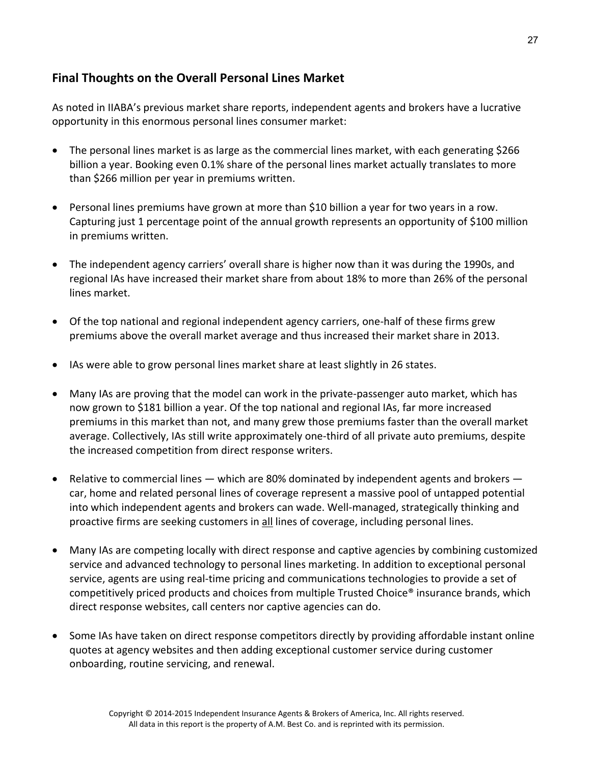## **Final Thoughts on the Overall Personal Lines Market**

As noted in IIABA's previous market share reports, independent agents and brokers have a lucrative opportunity in this enormous personal lines consumer market:

- The personal lines market is as large as the commercial lines market, with each generating \$266 billion a year. Booking even 0.1% share of the personal lines market actually translates to more than \$266 million per year in premiums written.
- Personal lines premiums have grown at more than \$10 billion a year for two years in a row. Capturing just 1 percentage point of the annual growth represents an opportunity of \$100 million in premiums written.
- The independent agency carriers' overall share is higher now than it was during the 1990s, and regional IAs have increased their market share from about 18% to more than 26% of the personal lines market.
- Of the top national and regional independent agency carriers, one-half of these firms grew premiums above the overall market average and thus increased their market share in 2013.
- IAs were able to grow personal lines market share at least slightly in 26 states.
- Many IAs are proving that the model can work in the private‐passenger auto market, which has now grown to \$181 billion a year. Of the top national and regional IAs, far more increased premiums in this market than not, and many grew those premiums faster than the overall market average. Collectively, IAs still write approximately one‐third of all private auto premiums, despite the increased competition from direct response writers.
- Relative to commercial lines  $-$  which are 80% dominated by independent agents and brokers  $$ car, home and related personal lines of coverage represent a massive pool of untapped potential into which independent agents and brokers can wade. Well-managed, strategically thinking and proactive firms are seeking customers in all lines of coverage, including personal lines.
- Many IAs are competing locally with direct response and captive agencies by combining customized service and advanced technology to personal lines marketing. In addition to exceptional personal service, agents are using real‐time pricing and communications technologies to provide a set of competitively priced products and choices from multiple Trusted Choice® insurance brands, which direct response websites, call centers nor captive agencies can do.
- Some IAs have taken on direct response competitors directly by providing affordable instant online quotes at agency websites and then adding exceptional customer service during customer onboarding, routine servicing, and renewal.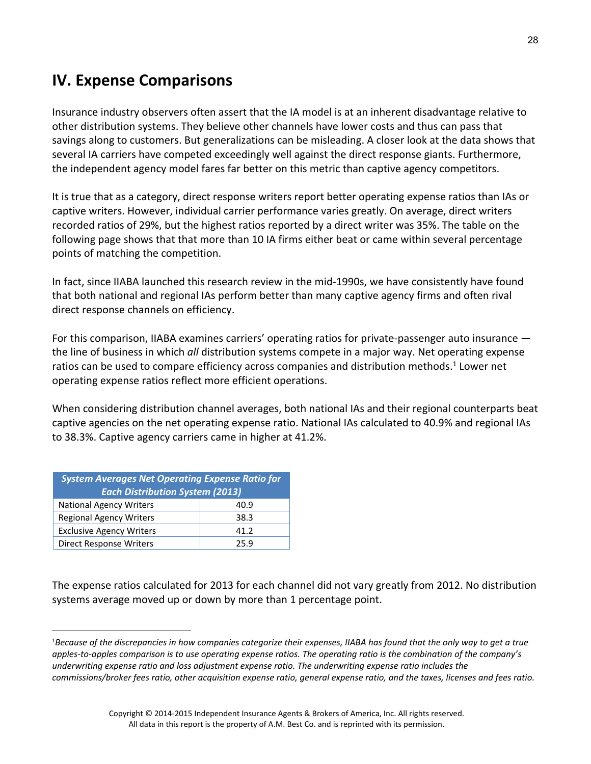# **IV. Expense Comparisons**

Insurance industry observers often assert that the IA model is at an inherent disadvantage relative to other distribution systems. They believe other channels have lower costs and thus can pass that savings along to customers. But generalizations can be misleading. A closer look at the data shows that several IA carriers have competed exceedingly well against the direct response giants. Furthermore, the independent agency model fares far better on this metric than captive agency competitors.

It is true that as a category, direct response writers report better operating expense ratios than IAs or captive writers. However, individual carrier performance varies greatly. On average, direct writers recorded ratios of 29%, but the highest ratios reported by a direct writer was 35%. The table on the following page shows that that more than 10 IA firms either beat or came within several percentage points of matching the competition.

In fact, since IIABA launched this research review in the mid-1990s, we have consistently have found that both national and regional IAs perform better than many captive agency firms and often rival direct response channels on efficiency.

For this comparison, IIABA examines carriers' operating ratios for private-passenger auto insurance the line of business in which *all* distribution systems compete in a major way. Net operating expense ratios can be used to compare efficiency across companies and distribution methods.<sup>1</sup> Lower net operating expense ratios reflect more efficient operations.

When considering distribution channel averages, both national IAs and their regional counterparts beat captive agencies on the net operating expense ratio. National IAs calculated to 40.9% and regional IAs to 38.3%. Captive agency carriers came in higher at 41.2%.

| <b>System Averages Net Operating Expense Ratio for</b><br><b>Each Distribution System (2013)</b> |      |  |
|--------------------------------------------------------------------------------------------------|------|--|
| <b>National Agency Writers</b>                                                                   | 40.9 |  |
| <b>Regional Agency Writers</b><br>38.3                                                           |      |  |
| <b>Exclusive Agency Writers</b><br>41.2                                                          |      |  |
| Direct Response Writers<br>259                                                                   |      |  |

 $\overline{a}$ 

The expense ratios calculated for 2013 for each channel did not vary greatly from 2012. No distribution systems average moved up or down by more than 1 percentage point.

<sup>&</sup>lt;sup>1</sup>Because of the discrepancies in how companies categorize their expenses, IIABA has found that the only way to get a true apples-to-apples comparison is to use operating expense ratios. The operating ratio is the combination of the company's *underwriting expense ratio and loss adjustment expense ratio. The underwriting expense ratio includes the* commissions/broker fees ratio, other acquisition expense ratio, general expense ratio, and the taxes, licenses and fees ratio.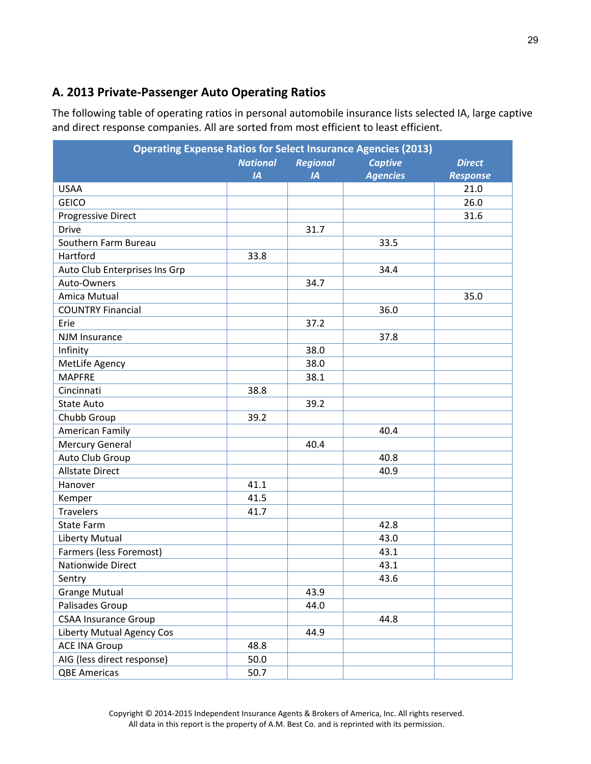# **A. 2013 Private‐Passenger Auto Operating Ratios**

The following table of operating ratios in personal automobile insurance lists selected IA, large captive and direct response companies. All are sorted from most efficient to least efficient.

| <b>Operating Expense Ratios for Select Insurance Agencies (2013)</b> |                 |                 |                 |                 |
|----------------------------------------------------------------------|-----------------|-----------------|-----------------|-----------------|
|                                                                      | <b>National</b> | <b>Regional</b> | <b>Captive</b>  | <b>Direct</b>   |
|                                                                      | IA              | IA              | <b>Agencies</b> | <b>Response</b> |
| <b>USAA</b>                                                          |                 |                 |                 | 21.0            |
| <b>GEICO</b>                                                         |                 |                 |                 | 26.0            |
| <b>Progressive Direct</b>                                            |                 |                 |                 | 31.6            |
| <b>Drive</b>                                                         |                 | 31.7            |                 |                 |
| Southern Farm Bureau                                                 |                 |                 | 33.5            |                 |
| Hartford                                                             | 33.8            |                 |                 |                 |
| Auto Club Enterprises Ins Grp                                        |                 |                 | 34.4            |                 |
| Auto-Owners                                                          |                 | 34.7            |                 |                 |
| Amica Mutual                                                         |                 |                 |                 | 35.0            |
| <b>COUNTRY Financial</b>                                             |                 |                 | 36.0            |                 |
| Erie                                                                 |                 | 37.2            |                 |                 |
| <b>NJM Insurance</b>                                                 |                 |                 | 37.8            |                 |
| Infinity                                                             |                 | 38.0            |                 |                 |
| MetLife Agency                                                       |                 | 38.0            |                 |                 |
| <b>MAPFRE</b>                                                        |                 | 38.1            |                 |                 |
| Cincinnati                                                           | 38.8            |                 |                 |                 |
| State Auto                                                           |                 | 39.2            |                 |                 |
| Chubb Group                                                          | 39.2            |                 |                 |                 |
| American Family                                                      |                 |                 | 40.4            |                 |
| <b>Mercury General</b>                                               |                 | 40.4            |                 |                 |
| Auto Club Group                                                      |                 |                 | 40.8            |                 |
| <b>Allstate Direct</b>                                               |                 |                 | 40.9            |                 |
| Hanover                                                              | 41.1            |                 |                 |                 |
| Kemper                                                               | 41.5            |                 |                 |                 |
| <b>Travelers</b>                                                     | 41.7            |                 |                 |                 |
| State Farm                                                           |                 |                 | 42.8            |                 |
| <b>Liberty Mutual</b>                                                |                 |                 | 43.0            |                 |
| Farmers (less Foremost)                                              |                 |                 | 43.1            |                 |
| <b>Nationwide Direct</b>                                             |                 |                 | 43.1            |                 |
| Sentry                                                               |                 |                 | 43.6            |                 |
| <b>Grange Mutual</b>                                                 |                 | 43.9            |                 |                 |
| Palisades Group                                                      |                 | 44.0            |                 |                 |
| <b>CSAA Insurance Group</b>                                          |                 |                 | 44.8            |                 |
| Liberty Mutual Agency Cos                                            |                 | 44.9            |                 |                 |
| <b>ACE INA Group</b>                                                 | 48.8            |                 |                 |                 |
| AIG (less direct response)                                           | 50.0            |                 |                 |                 |
| <b>QBE Americas</b>                                                  | 50.7            |                 |                 |                 |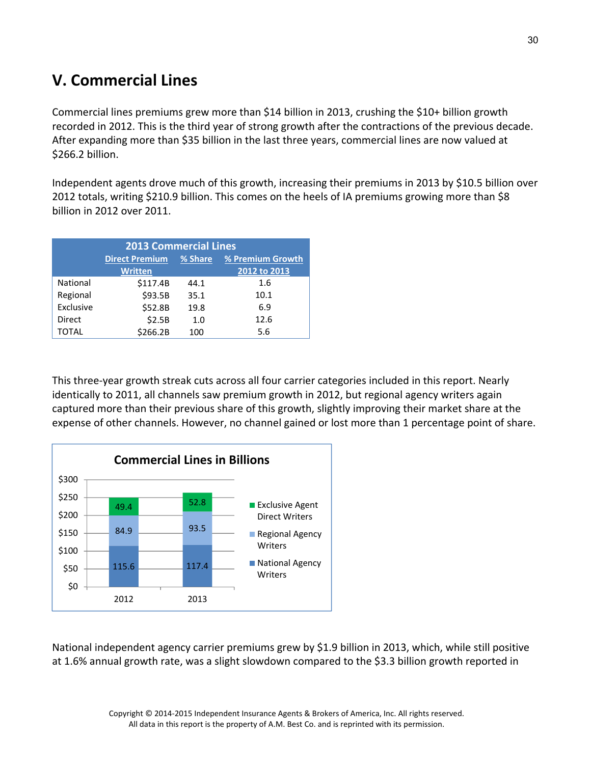# **V. Commercial Lines**

Commercial lines premiums grew more than \$14 billion in 2013, crushing the \$10+ billion growth recorded in 2012. This is the third year of strong growth after the contractions of the previous decade. After expanding more than \$35 billion in the last three years, commercial lines are now valued at \$266.2 billion.

Independent agents drove much of this growth, increasing their premiums in 2013 by \$10.5 billion over 2012 totals, writing \$210.9 billion. This comes on the heels of IA premiums growing more than \$8 billion in 2012 over 2011.

| <b>2013 Commercial Lines</b>   |                                                      |      |      |  |  |
|--------------------------------|------------------------------------------------------|------|------|--|--|
|                                | <b>Direct Premium</b><br>% Premium Growth<br>% Share |      |      |  |  |
| 2012 to 2013<br><b>Written</b> |                                                      |      |      |  |  |
| National                       | \$117.4B                                             | 44.1 | 1.6  |  |  |
| Regional                       | \$93.5B                                              | 35.1 | 10.1 |  |  |
| Exclusive                      | \$52.8B                                              | 19.8 | 6.9  |  |  |
| Direct                         | \$2.5B                                               | 1.0  | 12.6 |  |  |
| TOTAL                          | \$266.2B                                             | 100  | 5.6  |  |  |

This three‐year growth streak cuts across all four carrier categories included in this report. Nearly identically to 2011, all channels saw premium growth in 2012, but regional agency writers again captured more than their previous share of this growth, slightly improving their market share at the expense of other channels. However, no channel gained or lost more than 1 percentage point of share.



National independent agency carrier premiums grew by \$1.9 billion in 2013, which, while still positive at 1.6% annual growth rate, was a slight slowdown compared to the \$3.3 billion growth reported in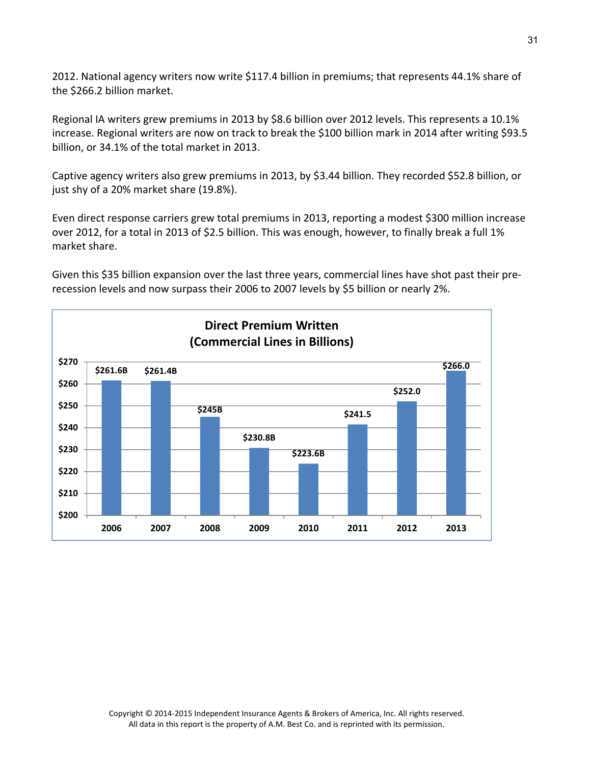2012. National agency writers now write \$117.4 billion in premiums; that represents 44.1% share of the \$266.2 billion market.

Regional IA writers grew premiums in 2013 by \$8.6 billion over 2012 levels. This represents a 10.1% increase. Regional writers are now on track to break the \$100 billion mark in 2014 after writing \$93.5 billion, or 34.1% of the total market in 2013.

Captive agency writers also grew premiums in 2013, by \$3.44 billion. They recorded \$52.8 billion, or just shy of a 20% market share (19.8%).

Even direct response carriers grew total premiums in 2013, reporting a modest \$300 million increase over 2012, for a total in 2013 of \$2.5 billion. This was enough, however, to finally break a full 1% market share.

Given this \$35 billion expansion over the last three years, commercial lines have shot past their pre‐ recession levels and now surpass their 2006 to 2007 levels by \$5 billion or nearly 2%.

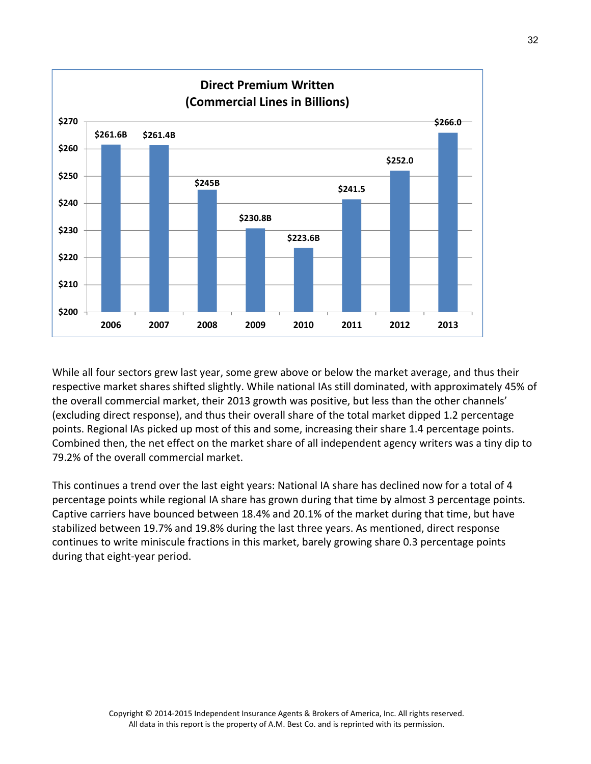

While all four sectors grew last year, some grew above or below the market average, and thus their respective market shares shifted slightly. While national IAs still dominated, with approximately 45% of the overall commercial market, their 2013 growth was positive, but less than the other channels' (excluding direct response), and thus their overall share of the total market dipped 1.2 percentage points. Regional IAs picked up most of this and some, increasing their share 1.4 percentage points. Combined then, the net effect on the market share of all independent agency writers was a tiny dip to 79.2% of the overall commercial market.

This continues a trend over the last eight years: National IA share has declined now for a total of 4 percentage points while regional IA share has grown during that time by almost 3 percentage points. Captive carriers have bounced between 18.4% and 20.1% of the market during that time, but have stabilized between 19.7% and 19.8% during the last three years. As mentioned, direct response continues to write miniscule fractions in this market, barely growing share 0.3 percentage points during that eight‐year period.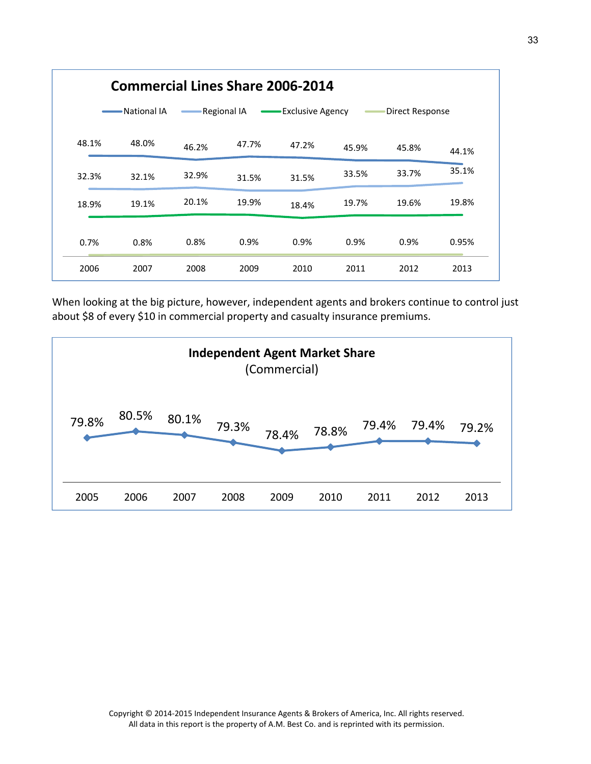| <b>Commercial Lines Share 2006-2014</b>                                  |       |       |       |       |       |       |       |
|--------------------------------------------------------------------------|-------|-------|-------|-------|-------|-------|-------|
| National IA<br>Regional IA<br><b>Exclusive Agency</b><br>Direct Response |       |       |       |       |       |       |       |
| 48.1%                                                                    | 48.0% | 46.2% | 47.7% | 47.2% | 45.9% | 45.8% | 44.1% |
| 32.3%                                                                    | 32.1% | 32.9% | 31.5% | 31.5% | 33.5% | 33.7% | 35.1% |
| 18.9%                                                                    | 19.1% | 20.1% | 19.9% | 18.4% | 19.7% | 19.6% | 19.8% |
| 0.7%                                                                     | 0.8%  | 0.8%  | 0.9%  | 0.9%  | 0.9%  | 0.9%  | 0.95% |
| 2006                                                                     | 2007  | 2008  | 2009  | 2010  | 2011  | 2012  | 2013  |

When looking at the big picture, however, independent agents and brokers continue to control just about \$8 of every \$10 in commercial property and casualty insurance premiums.

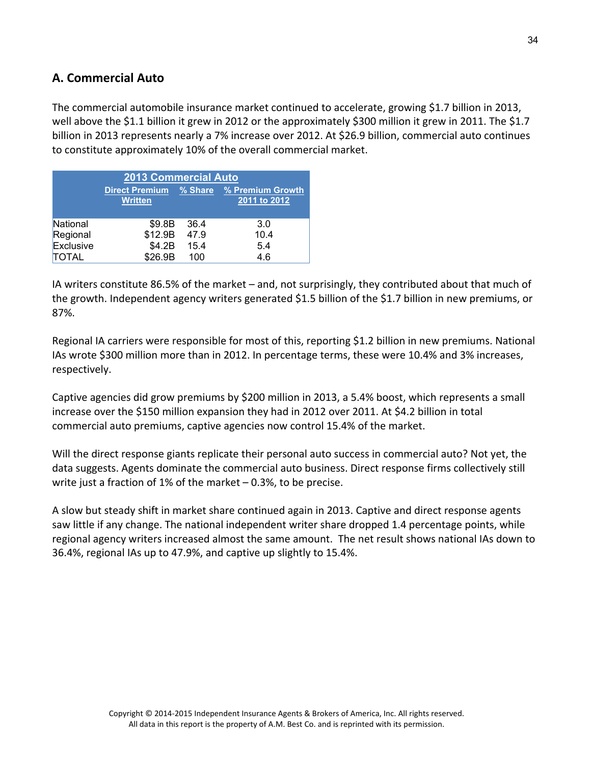## **A. Commercial Auto**

The commercial automobile insurance market continued to accelerate, growing \$1.7 billion in 2013, well above the \$1.1 billion it grew in 2012 or the approximately \$300 million it grew in 2011. The \$1.7 billion in 2013 represents nearly a 7% increase over 2012. At \$26.9 billion, commercial auto continues to constitute approximately 10% of the overall commercial market.

| <b>2013 Commercial Auto</b> |                                         |           |                                  |  |  |
|-----------------------------|-----------------------------------------|-----------|----------------------------------|--|--|
|                             | <b>Direct Premium</b><br><b>Written</b> | $%$ Share | % Premium Growth<br>2011 to 2012 |  |  |
| National                    | \$9.8B                                  | 36.4      | 3.0                              |  |  |
| Regional                    | \$12.9B                                 | 47.9      | 10.4                             |  |  |
| Exclusive                   | \$4.2B                                  | 15.4      | 5.4                              |  |  |
| <b>TOTAL</b>                | \$26.9B                                 | 100       | 4.6                              |  |  |

IA writers constitute 86.5% of the market – and, not surprisingly, they contributed about that much of the growth. Independent agency writers generated \$1.5 billion of the \$1.7 billion in new premiums, or 87%.

Regional IA carriers were responsible for most of this, reporting \$1.2 billion in new premiums. National IAs wrote \$300 million more than in 2012. In percentage terms, these were 10.4% and 3% increases, respectively.

Captive agencies did grow premiums by \$200 million in 2013, a 5.4% boost, which represents a small increase over the \$150 million expansion they had in 2012 over 2011. At \$4.2 billion in total commercial auto premiums, captive agencies now control 15.4% of the market.

Will the direct response giants replicate their personal auto success in commercial auto? Not yet, the data suggests. Agents dominate the commercial auto business. Direct response firms collectively still write just a fraction of 1% of the market – 0.3%, to be precise.

A slow but steady shift in market share continued again in 2013. Captive and direct response agents saw little if any change. The national independent writer share dropped 1.4 percentage points, while regional agency writers increased almost the same amount. The net result shows national IAs down to 36.4%, regional IAs up to 47.9%, and captive up slightly to 15.4%.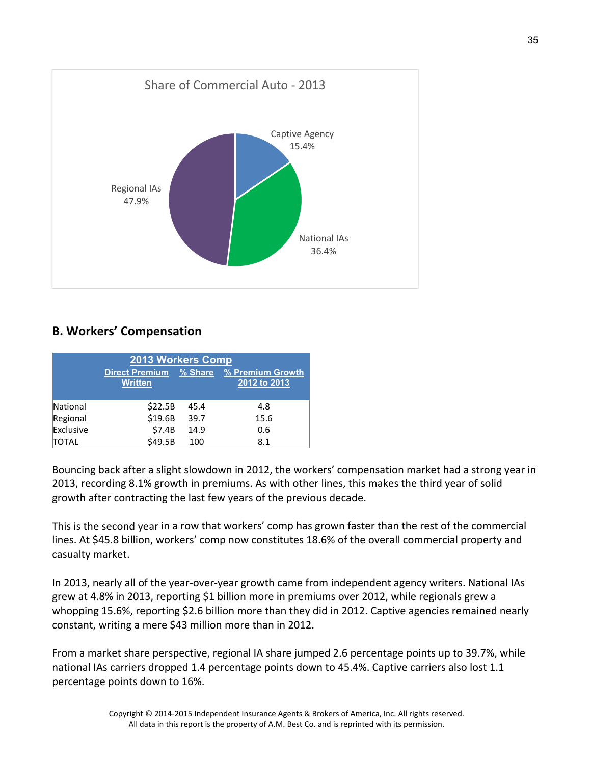

## **B. Workers' Compensation**

| 2013 Workers Comp |                                         |           |                                  |  |  |
|-------------------|-----------------------------------------|-----------|----------------------------------|--|--|
|                   | <b>Direct Premium</b><br><b>Written</b> | $%$ Share | % Premium Growth<br>2012 to 2013 |  |  |
| National          | \$22.5B                                 | 45.4      | 4.8                              |  |  |
| Regional          | \$19.6B                                 | 39.7      | 15.6                             |  |  |
| Exclusive         | \$7.4B                                  | 14.9      | 0.6                              |  |  |
| <b>TOTAL</b>      | \$49.5B                                 | 100       | 8.1                              |  |  |

Bouncing back after a slight slowdown in 2012, the workers' compensation market had a strong year in 2013, recording 8.1% growth in premiums. As with other lines, this makes the third year of solid growth after contracting the last few years of the previous decade.

This is the second year in a row that workers' comp has grown faster than the rest of the commercial lines. At \$45.8 billion, workers' comp now constitutes 18.6% of the overall commercial property and casualty market.

In 2013, nearly all of the year-over-year growth came from independent agency writers. National IAs grew at 4.8% in 2013, reporting \$1 billion more in premiums over 2012, while regionals grew a whopping 15.6%, reporting \$2.6 billion more than they did in 2012. Captive agencies remained nearly constant, writing a mere \$43 million more than in 2012.

From a market share perspective, regional IA share jumped 2.6 percentage points up to 39.7%, while national IAs carriers dropped 1.4 percentage points down to 45.4%. Captive carriers also lost 1.1 percentage points down to 16%.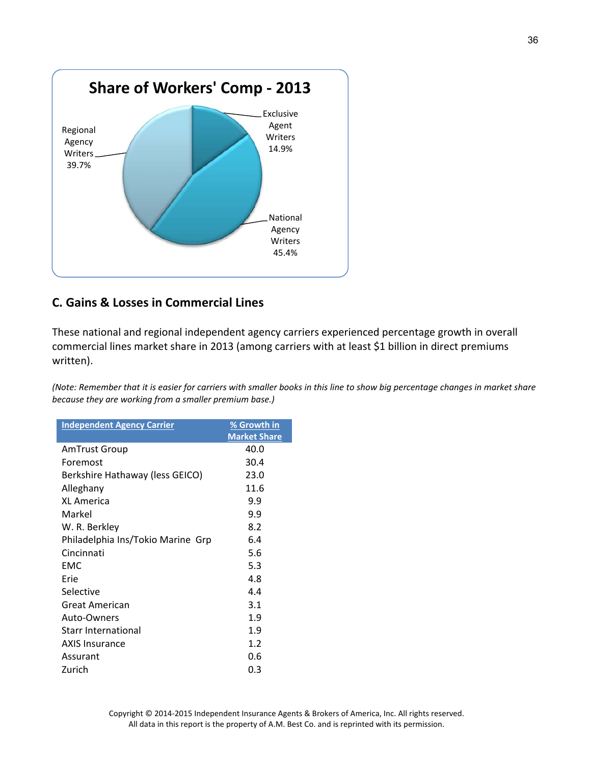

## **C. Gains & Losses in Commercial Lines**

These national and regional independent agency carriers experienced percentage growth in overall commercial lines market share in 2013 (among carriers with at least \$1 billion in direct premiums written).

(Note: Remember that it is easier for carriers with smaller books in this line to show big percentage changes in market share *because they are working from a smaller premium base.)*

| <b>Independent Agency Carrier</b> | % Growth in<br><b>Market Share</b> |
|-----------------------------------|------------------------------------|
| <b>AmTrust Group</b>              | 40.0                               |
| Foremost                          | 30.4                               |
| Berkshire Hathaway (less GEICO)   | 23.0                               |
| Alleghany                         | 11.6                               |
| <b>XL America</b>                 | 9.9                                |
| Markel                            | 9.9                                |
| W. R. Berkley                     | 8.2                                |
| Philadelphia Ins/Tokio Marine Grp | 6.4                                |
| Cincinnati                        | 5.6                                |
| <b>FMC</b>                        | 5.3                                |
| Erie                              | 4.8                                |
| Selective                         | 4.4                                |
| Great American                    | 3.1                                |
| Auto-Owners                       | 1.9                                |
| <b>Starr International</b>        | 1.9                                |
| <b>AXIS Insurance</b>             | 1.2                                |
| Assurant                          | 0.6                                |
| Zurich                            | 0.3                                |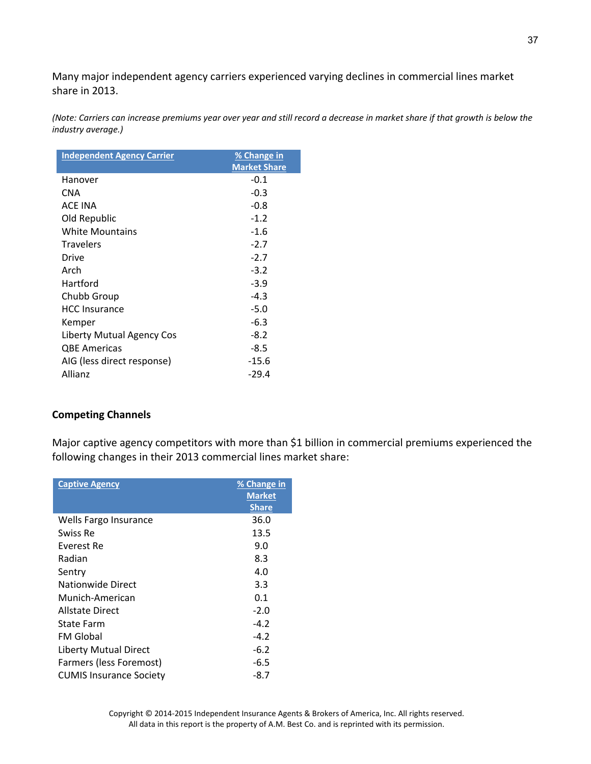Many major independent agency carriers experienced varying declines in commercial lines market share in 2013.

(Note: Carriers can increase premiums year over year and still record a decrease in market share if that growth is below the *industry average.)*

| <b>Independent Agency Carrier</b> | % Change in         |
|-----------------------------------|---------------------|
|                                   | <b>Market Share</b> |
| Hanover                           | $-0.1$              |
| <b>CNA</b>                        | $-0.3$              |
| <b>ACF INA</b>                    | $-0.8$              |
| Old Republic                      | $-1.2$              |
| White Mountains                   | $-1.6$              |
| <b>Travelers</b>                  | $-2.7$              |
| Drive                             | $-2.7$              |
| Arch                              | $-3.2$              |
| Hartford                          | $-3.9$              |
| Chubb Group                       | $-4.3$              |
| <b>HCC Insurance</b>              | $-5.0$              |
| Kemper                            | $-6.3$              |
| Liberty Mutual Agency Cos         | $-8.2$              |
| <b>QBE Americas</b>               | $-8.5$              |
| AIG (less direct response)        | $-15.6$             |
| <b>Allianz</b>                    | -29.4               |

### **Competing Channels**

Major captive agency competitors with more than \$1 billion in commercial premiums experienced the following changes in their 2013 commercial lines market share:

| <b>Captive Agency</b>          | % Change in<br><b>Market</b><br><b>Share</b> |
|--------------------------------|----------------------------------------------|
| Wells Fargo Insurance          | 36.0                                         |
| Swiss Re                       | 13.5                                         |
| Everest Re                     | 9.0                                          |
| Radian                         | 8.3                                          |
| Sentry                         | 4.0                                          |
| Nationwide Direct              | 3.3                                          |
| Munich-American                | 0.1                                          |
| Allstate Direct                | $-2.0$                                       |
| State Farm                     | $-4.2$                                       |
| FM Global                      | $-4.2$                                       |
| <b>Liberty Mutual Direct</b>   | $-6.2$                                       |
| Farmers (less Foremost)        | $-6.5$                                       |
| <b>CUMIS Insurance Society</b> | -8.7                                         |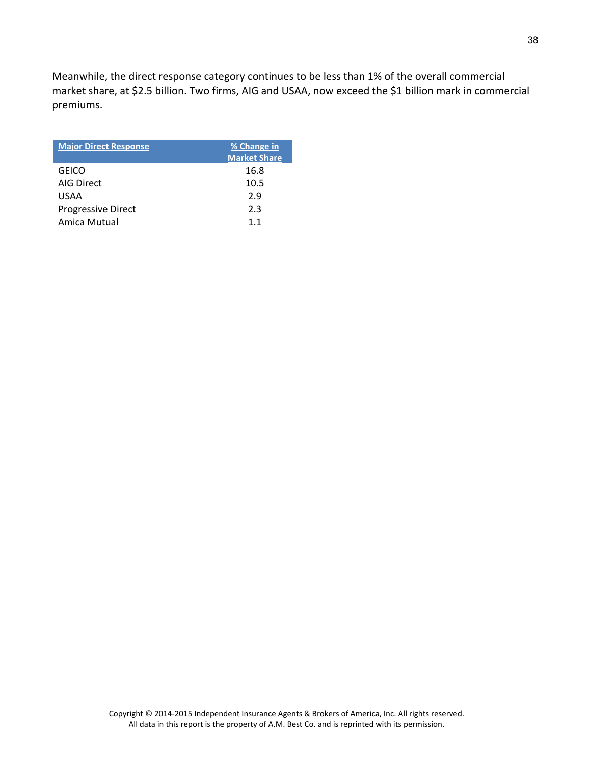Meanwhile, the direct response category continues to be less than 1% of the overall commercial market share, at \$2.5 billion. Two firms, AIG and USAA, now exceed the \$1 billion mark in commercial premiums.

| <b>Major Direct Response</b> | % Change in<br><b>Market Share</b> |
|------------------------------|------------------------------------|
| GEICO                        | 16.8                               |
| AIG Direct                   | 10.5                               |
| USAA                         | 2.9                                |
| <b>Progressive Direct</b>    | 2.3                                |
| Amica Mutual                 | 11                                 |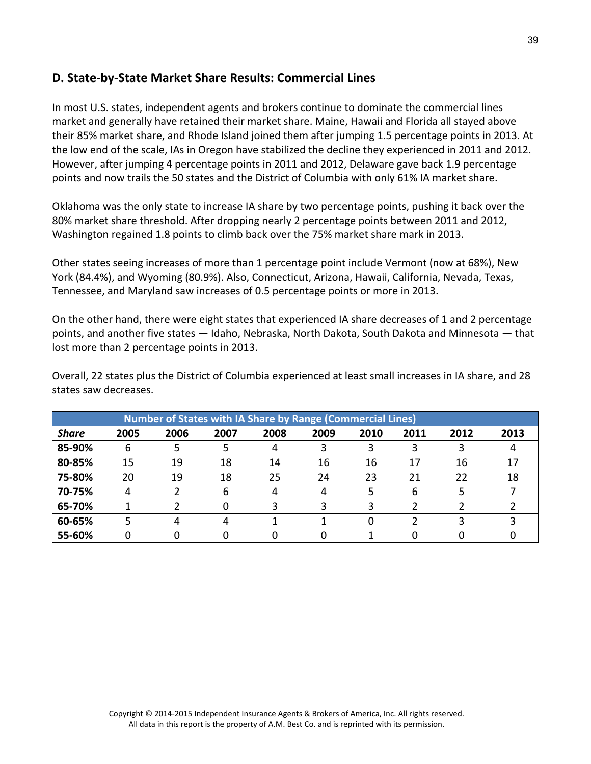### **D. State‐by‐State Market Share Results: Commercial Lines**

In most U.S. states, independent agents and brokers continue to dominate the commercial lines market and generally have retained their market share. Maine, Hawaii and Florida all stayed above their 85% market share, and Rhode Island joined them after jumping 1.5 percentage points in 2013. At the low end of the scale, IAs in Oregon have stabilized the decline they experienced in 2011 and 2012. However, after jumping 4 percentage points in 2011 and 2012, Delaware gave back 1.9 percentage points and now trails the 50 states and the District of Columbia with only 61% IA market share.

Oklahoma was the only state to increase IA share by two percentage points, pushing it back over the 80% market share threshold. After dropping nearly 2 percentage points between 2011 and 2012, Washington regained 1.8 points to climb back over the 75% market share mark in 2013.

Other states seeing increases of more than 1 percentage point include Vermont (now at 68%), New York (84.4%), and Wyoming (80.9%). Also, Connecticut, Arizona, Hawaii, California, Nevada, Texas, Tennessee, and Maryland saw increases of 0.5 percentage points or more in 2013.

On the other hand, there were eight states that experienced IA share decreases of 1 and 2 percentage points, and another five states — Idaho, Nebraska, North Dakota, South Dakota and Minnesota — that lost more than 2 percentage points in 2013.

Overall, 22 states plus the District of Columbia experienced at least small increases in IA share, and 28 states saw decreases.

| <b>Number of States with IA Share by Range (Commercial Lines)</b> |      |      |      |      |      |      |      |      |      |
|-------------------------------------------------------------------|------|------|------|------|------|------|------|------|------|
| <b>Share</b>                                                      | 2005 | 2006 | 2007 | 2008 | 2009 | 2010 | 2011 | 2012 | 2013 |
| 85-90%                                                            | 6    |      |      |      |      |      |      |      |      |
| 80-85%                                                            | 15   | 19   | 18   | 14   | 16   | 16   | 17   | 16   | 17   |
| 75-80%                                                            | 20   | 19   | 18   | 25   | 24   | 23   | 21   | 22   | 18   |
| 70-75%                                                            |      |      | 6    |      |      |      | 6    |      |      |
| 65-70%                                                            |      |      |      |      |      |      |      |      |      |
| 60-65%                                                            |      |      |      |      |      |      |      |      |      |
| 55-60%                                                            |      |      |      |      |      |      |      |      |      |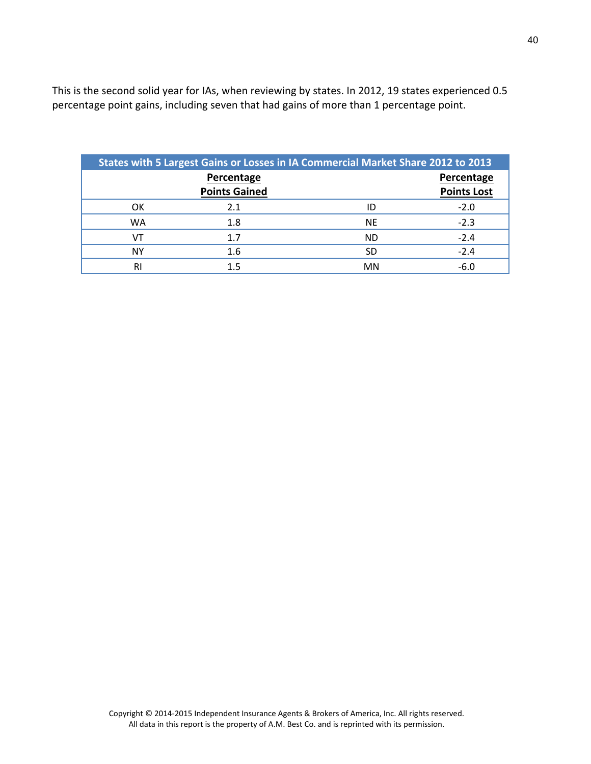This is the second solid year for IAs, when reviewing by states. In 2012, 19 states experienced 0.5 percentage point gains, including seven that had gains of more than 1 percentage point.

| States with 5 Largest Gains or Losses in IA Commercial Market Share 2012 to 2013 |                      |            |                    |  |  |  |  |  |
|----------------------------------------------------------------------------------|----------------------|------------|--------------------|--|--|--|--|--|
|                                                                                  |                      | Percentage |                    |  |  |  |  |  |
|                                                                                  | <b>Points Gained</b> |            | <b>Points Lost</b> |  |  |  |  |  |
| OK.                                                                              | 2.1                  | ID         | $-2.0$             |  |  |  |  |  |
| WA                                                                               | 1.8                  | <b>NE</b>  | $-2.3$             |  |  |  |  |  |
|                                                                                  | 1.7                  | <b>ND</b>  | $-2.4$             |  |  |  |  |  |
| <b>NY</b>                                                                        | 1.6                  | SD         | $-2.4$             |  |  |  |  |  |
| <b>RI</b>                                                                        | 1.5                  | MN         | $-6.0$             |  |  |  |  |  |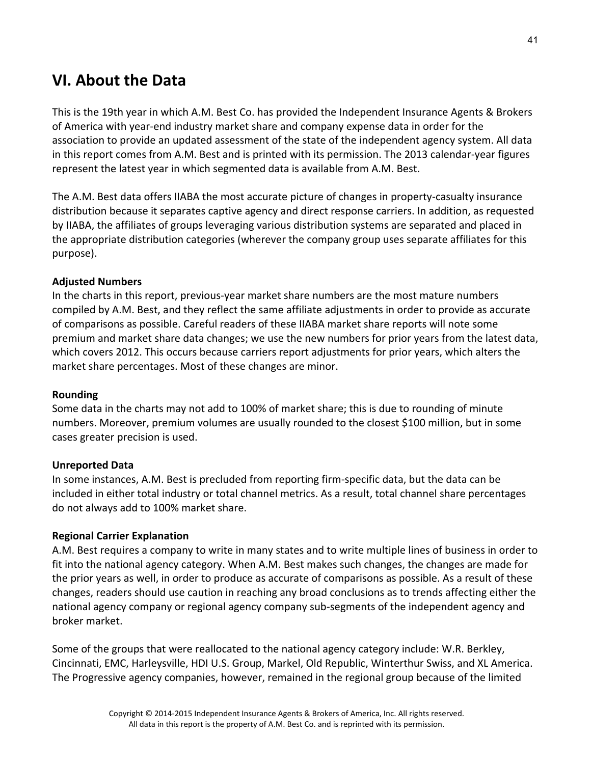# **VI. About the Data**

This is the 19th year in which A.M. Best Co. has provided the Independent Insurance Agents & Brokers of America with year‐end industry market share and company expense data in order for the association to provide an updated assessment of the state of the independent agency system. All data in this report comes from A.M. Best and is printed with its permission. The 2013 calendar‐year figures represent the latest year in which segmented data is available from A.M. Best.

The A.M. Best data offers IIABA the most accurate picture of changes in property‐casualty insurance distribution because it separates captive agency and direct response carriers. In addition, as requested by IIABA, the affiliates of groups leveraging various distribution systems are separated and placed in the appropriate distribution categories (wherever the company group uses separate affiliates for this purpose).

#### **Adjusted Numbers**

In the charts in this report, previous‐year market share numbers are the most mature numbers compiled by A.M. Best, and they reflect the same affiliate adjustments in order to provide as accurate of comparisons as possible. Careful readers of these IIABA market share reports will note some premium and market share data changes; we use the new numbers for prior years from the latest data, which covers 2012. This occurs because carriers report adjustments for prior years, which alters the market share percentages. Most of these changes are minor.

#### **Rounding**

Some data in the charts may not add to 100% of market share; this is due to rounding of minute numbers. Moreover, premium volumes are usually rounded to the closest \$100 million, but in some cases greater precision is used.

#### **Unreported Data**

In some instances, A.M. Best is precluded from reporting firm‐specific data, but the data can be included in either total industry or total channel metrics. As a result, total channel share percentages do not always add to 100% market share.

#### **Regional Carrier Explanation**

A.M. Best requires a company to write in many states and to write multiple lines of business in order to fit into the national agency category. When A.M. Best makes such changes, the changes are made for the prior years as well, in order to produce as accurate of comparisons as possible. As a result of these changes, readers should use caution in reaching any broad conclusions as to trends affecting either the national agency company or regional agency company sub‐segments of the independent agency and broker market.

Some of the groups that were reallocated to the national agency category include: W.R. Berkley, Cincinnati, EMC, Harleysville, HDI U.S. Group, Markel, Old Republic, Winterthur Swiss, and XL America. The Progressive agency companies, however, remained in the regional group because of the limited